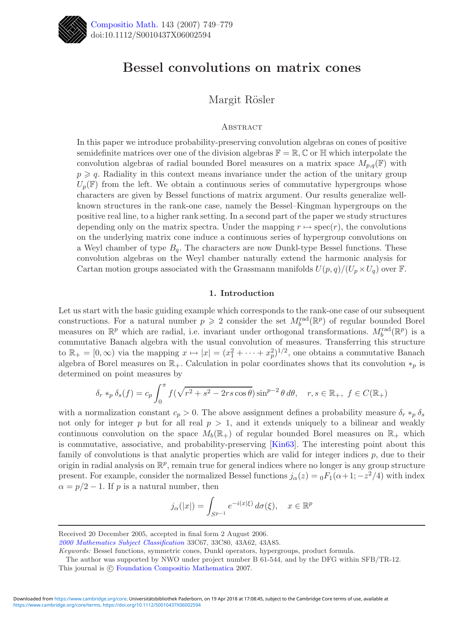

# **Bessel convolutions on matrix cones**

# Margit R¨osler

# **ABSTRACT**

In this paper we introduce probability-preserving convolution algebras on cones of positive semidefinite matrices over one of the division algebras  $\mathbb{F} = \mathbb{R}, \mathbb{C}$  or  $\mathbb{H}$  which interpolate the convolution algebras of radial bounded Borel measures on a matrix space  $M_{p,q}(\mathbb{F})$  with  $p \geqslant q$ . Radiality in this context means invariance under the action of the unitary group  $U_p(\mathbb{F})$  from the left. We obtain a continuous series of commutative hypergroups whose characters are given by Bessel functions of matrix argument. Our results generalize wellknown structures in the rank-one case, namely the Bessel–Kingman hypergroups on the positive real line, to a higher rank setting. In a second part of the paper we study structures depending only on the matrix spectra. Under the mapping  $r \mapsto \text{spec}(r)$ , the convolutions on the underlying matrix cone induce a continuous series of hypergroup convolutions on a Weyl chamber of type  $B_q$ . The characters are now Dunkl-type Bessel functions. These convolution algebras on the Weyl chamber naturally extend the harmonic analysis for Cartan motion groups associated with the Grassmann manifolds  $U(p,q)/(U_p \times U_q)$  over F.

# **1. Introduction**

Let us start with the basic guiding example which corresponds to the rank-one case of our subsequent constructions. For a natural number  $p \geqslant 2$  consider the set  $M_b^{\text{rad}}(\mathbb{R}^p)$  of regular bounded Borel measures on  $\mathbb{R}^p$  which are radial, i.e. invariant under orthogonal transformations.  $M_b^{\text{rad}}(\mathbb{R}^p)$  is a commutative Banach algebra with the usual convolution of measures. Transferring this structure to  $\mathbb{R}_+ = [0, \infty)$  via the mapping  $x \mapsto |x| = (x_1^2 + \cdots + x_p^2)^{1/2}$ , one obtains a commutative Banach algebra of Borel measures on  $\mathbb{R}_+$ . Calculation in polar coordinates shows that its convolution  $*_p$  is determined on point measures by

$$
\delta_r *_p \delta_s(f) = c_p \int_0^\pi f(\sqrt{r^2 + s^2 - 2rs\cos\theta}) \sin^{p-2}\theta \, d\theta, \quad r, s \in \mathbb{R}_+, \ f \in C(\mathbb{R}_+)
$$

with a normalization constant  $c_p > 0$ . The above assignment defines a probability measure  $\delta_r *_{p} \delta_s$ not only for integer p but for all real  $p > 1$ , and it extends uniquely to a bilinear and weakly continuous convolution on the space  $M_b(\mathbb{R}_+)$  of regular bounded Borel measures on  $\mathbb{R}_+$  which is commutative, associative, and probability-preserving [\[Kin63\]](#page-30-0). The interesting point about this family of convolutions is that analytic properties which are valid for integer indices  $p$ , due to their origin in radial analysis on  $\mathbb{R}^p$ , remain true for general indices where no longer is any group structure present. For example, consider the normalized Bessel functions  $j_{\alpha}(z) = {}_0F_1(\alpha+1; -z^2/4)$  with index  $\alpha = p/2 - 1$ . If p is a natural number, then

$$
j_{\alpha}(|x|) = \int_{S^{p-1}} e^{-i(x|\xi)} d\sigma(\xi), \quad x \in \mathbb{R}^p
$$

*[2000 Mathematics Subject Classification](http://www.ams.org/msc/)* 33C67, 33C80, 43A62, 43A85.

*Keywords:* Bessel functions, symmetric cones, Dunkl operators, hypergroups, product formula.

Received 20 December 2005, accepted in final form 2 August 2006.

The author was supported by NWO under project number B 61-544, and by the DFG within SFB/TR-12. This journal is  $\odot$  [Foundation Compositio Mathematica](http://www.compositio.nl) 2007.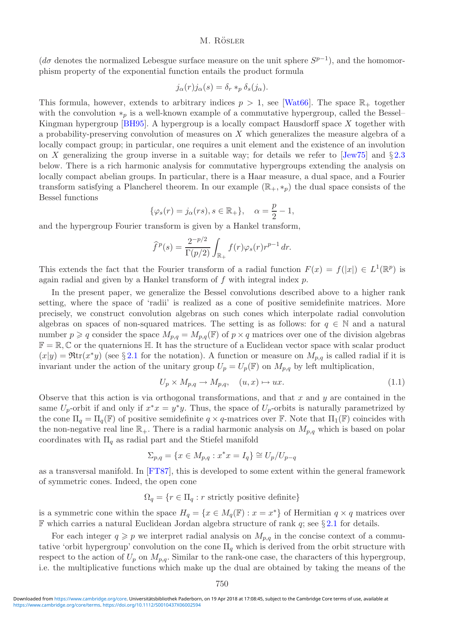( $d\sigma$  denotes the normalized Lebesgue surface measure on the unit sphere  $S^{p-1}$ ), and the homomorphism property of the exponential function entails the product formula

$$
j_{\alpha}(r)j_{\alpha}(s) = \delta_r *_p \delta_s(j_{\alpha}).
$$

This formula, however, extends to arbitrary indices  $p > 1$ , see [\[Wat66\]](#page-30-1). The space  $\mathbb{R}_+$  together with the convolution  $*_p$  is a well-known example of a commutative hypergroup, called the Bessel– Kingman hypergroup [\[BH95\]](#page-29-0). A hypergroup is a locally compact Hausdorff space X together with a probability-preserving convolution of measures on X which generalizes the measure algebra of a locally compact group; in particular, one requires a unit element and the existence of an involution on X generalizing the group inverse in a suitable way; for details we refer to  $\text{Jew75}$  and  $\S 2.3$  $\S 2.3$ below. There is a rich harmonic analysis for commutative hypergroups extending the analysis on locally compact abelian groups. In particular, there is a Haar measure, a dual space, and a Fourier transform satisfying a Plancherel theorem. In our example  $(\mathbb{R}_+,*_p)$  the dual space consists of the Bessel functions

$$
\{\varphi_s(r) = j_\alpha(rs), s \in \mathbb{R}_+\}, \quad \alpha = \frac{p}{2} - 1,
$$

and the hypergroup Fourier transform is given by a Hankel transform,

$$
\widehat{f}^p(s) = \frac{2^{-p/2}}{\Gamma(p/2)} \int_{\mathbb{R}_+} f(r) \varphi_s(r) r^{p-1} dr.
$$

This extends the fact that the Fourier transform of a radial function  $F(x) = f(|x|) \in L^{1}(\mathbb{R}^{p})$  is again radial and given by a Hankel transform of f with integral index p.

In the present paper, we generalize the Bessel convolutions described above to a higher rank setting, where the space of 'radii' is realized as a cone of positive semidefinite matrices. More precisely, we construct convolution algebras on such cones which interpolate radial convolution algebras on spaces of non-squared matrices. The setting is as follows: for  $q \in \mathbb{N}$  and a natural number  $p \geq q$  consider the space  $M_{p,q} = M_{p,q}(\mathbb{F})$  of  $p \times q$  matrices over one of the division algebras  $\mathbb{F} = \mathbb{R}, \mathbb{C}$  or the quaternions  $\mathbb{H}$ . It has the structure of a Euclidean vector space with scalar product  $(x|y) = \Re \text{tr}(x^*y)$  (see § [2.1](#page-4-0) for the notation). A function or measure on  $M_{p,q}$  is called radial if it is invariant under the action of the unitary group  $U_p = U_p(\mathbb{F})$  on  $M_{p,q}$  by left multiplication,

<span id="page-1-0"></span>
$$
U_p \times M_{p,q} \to M_{p,q}, \quad (u, x) \mapsto ux. \tag{1.1}
$$

Observe that this action is via orthogonal transformations, and that x and y are contained in the same  $U_p$ -orbit if and only if  $x^*x = y^*y$ . Thus, the space of  $U_p$ -orbits is naturally parametrized by the cone  $\Pi_q = \Pi_q(\mathbb{F})$  of positive semidefinite  $q \times q$ -matrices over  $\mathbb{F}$ . Note that  $\Pi_1(\mathbb{F})$  coincides with the non-negative real line  $\mathbb{R}_+$ . There is a radial harmonic analysis on  $M_{p,q}$  which is based on polar coordinates with  $\Pi_q$  as radial part and the Stiefel manifold

$$
\Sigma_{p,q} = \{x \in M_{p,q} : x^*x = I_q\} \cong U_p/U_{p-q}
$$

as a transversal manifold. In [\[FT87\]](#page-29-1), this is developed to some extent within the general framework of symmetric cones. Indeed, the open cone

 $\Omega_q = \{r \in \Pi_q : r \text{ strictly positive definite}\}\$ 

is a symmetric cone within the space  $H_q = \{x \in M_q(\mathbb{F}) : x = x^*\}$  of Hermitian  $q \times q$  matrices over  $\mathbb F$  which carries a natural Euclidean Jordan algebra structure of rank q; see § [2.1](#page-4-0) for details.

For each integer  $q \geq p$  we interpret radial analysis on  $M_{p,q}$  in the concise context of a commutative 'orbit hypergroup' convolution on the cone  $\Pi_q$  which is derived from the orbit structure with respect to the action of  $U_p$  on  $M_{p,q}$ . Similar to the rank-one case, the characters of this hypergroup, i.e. the multiplicative functions which make up the dual are obtained by taking the means of the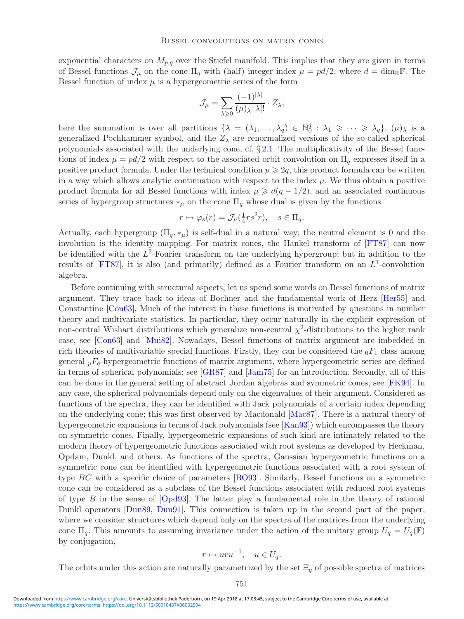exponential characters on  $M_{p,q}$  over the Stiefel manifold. This implies that they are given in terms of Bessel functions  $\mathcal{J}_{\mu}$  on the cone  $\Pi_q$  with (half) integer index  $\mu = pd/2$ , where  $d = \dim_{\mathbb{R}} \mathbb{F}$ . The Bessel function of index  $\mu$  is a hypergeometric series of the form

$$
\mathcal{J}_{\mu} = \sum_{\lambda \geq 0} \frac{(-1)^{|\lambda|}}{(\mu)_{\lambda} |\lambda|!} \cdot Z_{\lambda};
$$

here the summation is over all partitions  $\{\lambda = (\lambda_1, \ldots, \lambda_q) \in \mathbb{N}_0^q : \lambda_1 \geq \cdots \geq \lambda_q\}, (\mu)_{\lambda}$  is a generalized Pochhammer symbol, and the  $Z_{\lambda}$  are renormalized versions of the so-called spherical polynomials associated with the underlying cone, cf.  $\S 2.1$ . The multiplicativity of the Bessel functions of index  $\mu = pd/2$  with respect to the associated orbit convolution on  $\Pi_q$  expresses itself in a positive product formula. Under the technical condition  $p \geq 2q$ , this product formula can be written in a way which allows analytic continuation with respect to the index  $\mu$ . We thus obtain a positive product formula for all Bessel functions with index  $\mu \geq d(q - 1/2)$ , and an associated continuous series of hypergroup structures  $*_\mu$  on the cone  $\Pi_q$  whose dual is given by the functions

$$
r \mapsto \varphi_s(r) = \mathcal{J}_{\mu}(\frac{1}{4}rs^2r), \quad s \in \Pi_q.
$$

Actually, each hypergroup  $(\Pi_{q}, *_{\mu})$  is self-dual in a natural way; the neutral element is 0 and the involution is the identity mapping. For matrix cones, the Hankel transform of [\[FT87\]](#page-29-1) can now be identified with the  $L^2$ -Fourier transform on the underlying hypergroup; but in addition to the results of [\[FT87\]](#page-29-1), it is also (and primarily) defined as a Fourier transform on an  $L^1$ -convolution algebra.

Before continuing with structural aspects, let us spend some words on Bessel functions of matrix argument. They trace back to ideas of Bochner and the fundamental work of Herz [\[Her55\]](#page-29-2) and Constantine [\[Con63\]](#page-29-3). Much of the interest in these functions is motivated by questions in number theory and multivariate statistics. In particular, they occur naturally in the explicit expression of non-central Wishart distributions which generalize non-central  $\chi^2$ -distributions to the higher rank case, see [\[Con63\]](#page-29-3) and [\[Mui82\]](#page-30-3). Nowadays, Bessel functions of matrix argument are imbedded in rich theories of multivariable special functions. Firstly, they can be considered the  $_0F_1$  class among general  $p_{q}F_{q}$ -hypergeometric functions of matrix argument, where hypergeometric series are defined in terms of spherical polynomials; see [\[GR87\]](#page-29-4) and [\[Jam75\]](#page-29-5) for an introduction. Secondly, all of this can be done in the general setting of abstract Jordan algebras and symmetric cones, see [\[FK94\]](#page-29-6). In any case, the spherical polynomials depend only on the eigenvalues of their argument. Considered as functions of the spectra, they can be identified with Jack polynomials of a certain index depending on the underlying cone; this was first observed by Macdonald [\[Mac87\]](#page-30-4). There is a natural theory of hypergeometric expansions in terms of Jack polynomials (see [\[Kan93\]](#page-30-5)) which encompasses the theory on symmetric cones. Finally, hypergeometric expansions of such kind are intimately related to the modern theory of hypergeometric functions associated with root systems as developed by Heckman, Opdam, Dunkl, and others. As functions of the spectra, Gaussian hypergeometric functions on a symmetric cone can be identified with hypergeometric functions associated with a root system of type BC with a specific choice of parameters [\[BO93\]](#page-29-7). Similarly, Bessel functions on a symmetric cone can be considered as a subclass of the Bessel functions associated with reduced root systems of type  $B$  in the sense of  $[Opd93]$ . The latter play a fundamental role in the theory of rational Dunkl operators [\[Dun89,](#page-29-8) [Dun91\]](#page-29-9). This connection is taken up in the second part of the paper, where we consider structures which depend only on the spectra of the matrices from the underlying cone  $\Pi_q$ . This amounts to assuming invariance under the action of the unitary group  $U_q = U_q(\mathbb{F})$ by conjugation,

$$
r \mapsto uru^{-1}, \quad u \in U_q.
$$

The orbits under this action are naturally parametrized by the set  $\Xi_q$  of possible spectra of matrices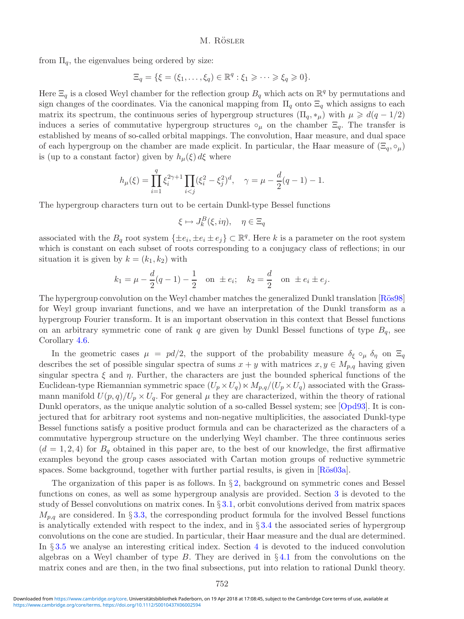from  $\Pi_q$ , the eigenvalues being ordered by size:

$$
\Xi_q = \{ \xi = (\xi_1, \dots, \xi_q) \in \mathbb{R}^q : \xi_1 \geqslant \dots \geqslant \xi_q \geqslant 0 \}.
$$

Here  $\Xi_q$  is a closed Weyl chamber for the reflection group  $B_q$  which acts on  $\mathbb{R}^q$  by permutations and sign changes of the coordinates. Via the canonical mapping from  $\Pi_q$  onto  $\Xi_q$  which assigns to each matrix its spectrum, the continuous series of hypergroup structures  $(\Pi_q, *_{\mu})$  with  $\mu \geq d(q - 1/2)$ induces a series of commutative hypergroup structures  $\circ_{\mu}$  on the chamber  $\Xi_q$ . The transfer is established by means of so-called orbital mappings. The convolution, Haar measure, and dual space of each hypergroup on the chamber are made explicit. In particular, the Haar measure of  $(\Xi_q, \circ_\mu)$ is (up to a constant factor) given by  $h_{\mu}(\xi) d\xi$  where

$$
h_{\mu}(\xi) = \prod_{i=1}^{q} \xi_i^{2\gamma+1} \prod_{i < j} (\xi_i^2 - \xi_j^2)^d, \quad \gamma = \mu - \frac{d}{2}(q-1) - 1.
$$

The hypergroup characters turn out to be certain Dunkl-type Bessel functions

$$
\xi \mapsto J_k^B(\xi, i\eta), \quad \eta \in \Xi_q
$$

associated with the  $B_q$  root system  $\{\pm e_i, \pm e_i \pm e_j\} \subset \mathbb{R}^q$ . Here k is a parameter on the root system which is constant on each subset of roots corresponding to a conjugacy class of reflections; in our situation it is given by  $k = (k_1, k_2)$  with

$$
k_1 = \mu - \frac{d}{2}(q-1) - \frac{1}{2}
$$
 on  $\pm e_i$ ;  $k_2 = \frac{d}{2}$  on  $\pm e_i \pm e_j$ .

The hypergroup convolution on the Weyl chamber matches the generalized Dunkl translation [Rös98] for Weyl group invariant functions, and we have an interpretation of the Dunkl transform as a hypergroup Fourier transform. It is an important observation in this context that Bessel functions on an arbitrary symmetric cone of rank q are given by Dunkl Bessel functions of type  $B_q$ , see Corollary [4.6.](#page-27-0)

In the geometric cases  $\mu = pd/2$ , the support of the probability measure  $\delta_{\xi} \circ_{\mu} \delta_{\eta}$  on  $\Xi_q$ describes the set of possible singular spectra of sums  $x + y$  with matrices  $x, y \in M_{p,q}$  having given singular spectra  $\xi$  and  $\eta$ . Further, the characters are just the bounded spherical functions of the Euclidean-type Riemannian symmetric space  $(U_p \times U_q) \times M_{p,q}/(U_p \times U_q)$  associated with the Grassmann manifold  $U(p,q)/U_p \times U_q$ . For general  $\mu$  they are characterized, within the theory of rational Dunkl operators, as the unique analytic solution of a so-called Bessel system; see [\[Opd93\]](#page-30-6). It is conjectured that for arbitrary root systems and non-negative multiplicities, the associated Dunkl-type Bessel functions satisfy a positive product formula and can be characterized as the characters of a commutative hypergroup structure on the underlying Weyl chamber. The three continuous series  $(d = 1, 2, 4)$  for  $B_q$  obtained in this paper are, to the best of our knowledge, the first affirmative examples beyond the group cases associated with Cartan motion groups of reductive symmetric spaces. Some background, together with further partial results, is given in  $R\ddot{o}s03a$ .

The organization of this paper is as follows. In  $\S 2$ , background on symmetric cones and Bessel functions on cones, as well as some hypergroup analysis are provided. Section [3](#page-9-0) is devoted to the study of Bessel convolutions on matrix cones. In § [3.1,](#page-9-1) orbit convolutions derived from matrix spaces  $M_{p,q}$  are considered. In § [3.3,](#page-13-0) the corresponding product formula for the involved Bessel functions is analytically extended with respect to the index, and in  $\S 3.4$  $\S 3.4$  the associated series of hypergroup convolutions on the cone are studied. In particular, their Haar measure and the dual are determined. In § [3.5](#page-19-0) we analyse an interesting critical index. Section [4](#page-21-0) is devoted to the induced convolution algebras on a Weyl chamber of type  $B$ . They are derived in  $\S 4.1$  $\S 4.1$  from the convolutions on the matrix cones and are then, in the two final subsections, put into relation to rational Dunkl theory.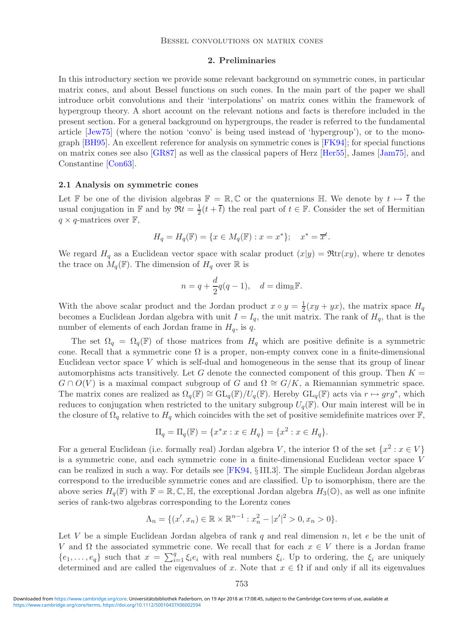# **2. Preliminaries**

<span id="page-4-1"></span>In this introductory section we provide some relevant background on symmetric cones, in particular matrix cones, and about Bessel functions on such cones. In the main part of the paper we shall introduce orbit convolutions and their 'interpolations' on matrix cones within the framework of hypergroup theory. A short account on the relevant notions and facts is therefore included in the present section. For a general background on hypergroups, the reader is referred to the fundamental article [\[Jew75\]](#page-30-2) (where the notion 'convo' is being used instead of 'hypergroup'), or to the monograph [\[BH95\]](#page-29-0). An excellent reference for analysis on symmetric cones is [\[FK94\]](#page-29-6); for special functions on matrix cones see also [\[GR87\]](#page-29-4) as well as the classical papers of Herz [\[Her55\]](#page-29-2), James [\[Jam75\]](#page-29-5), and Constantine [\[Con63\]](#page-29-3).

# <span id="page-4-0"></span>**2.1 Analysis on symmetric cones**

Let F be one of the division algebras  $\mathbb{F} = \mathbb{R}, \mathbb{C}$  or the quaternions H. We denote by  $t \mapsto \overline{t}$  the usual conjugation in  $\mathbb F$  and by  $\Re t = \frac{1}{2}(t + \overline{t})$  the real part of  $t \in \mathbb F$ . Consider the set of Hermitian  $q \times q$ -matrices over  $\mathbb{F}$ ,

$$
H_q = H_q(\mathbb{F}) = \{ x \in M_q(\mathbb{F}) : x = x^* \}; \quad x^* = \overline{x}^t.
$$

We regard  $H_q$  as a Euclidean vector space with scalar product  $(x|y) = \Re \text{tr}(xy)$ , where tr denotes the trace on  $M_q(\mathbb{F})$ . The dimension of  $H_q$  over  $\mathbb R$  is

$$
n = q + \frac{d}{2}q(q-1), \quad d = \dim_{\mathbb{R}} \mathbb{F}.
$$

With the above scalar product and the Jordan product  $x \circ y = \frac{1}{2}(xy + yx)$ , the matrix space  $H_q$ becomes a Euclidean Jordan algebra with unit  $I = I_q$ , the unit matrix. The rank of  $H_q$ , that is the number of elements of each Jordan frame in  $H_q$ , is q.

The set  $\Omega_q = \Omega_q(\mathbb{F})$  of those matrices from  $H_q$  which are positive definite is a symmetric cone. Recall that a symmetric cone  $\Omega$  is a proper, non-empty convex cone in a finite-dimensional Euclidean vector space V which is self-dual and homogeneous in the sense that its group of linear automorphisms acts transitively. Let G denote the connected component of this group. Then  $K =$  $G \cap O(V)$  is a maximal compact subgroup of G and  $\Omega \cong G/K$ , a Riemannian symmetric space. The matrix cones are realized as  $\Omega_q(\mathbb{F}) \cong GL_q(\mathbb{F})/U_q(\mathbb{F})$ . Hereby  $GL_q(\mathbb{F})$  acts via  $r \mapsto grg^*$ , which reduces to conjugation when restricted to the unitary subgroup  $U_q(\mathbb{F})$ . Our main interest will be in the closure of  $\Omega_q$  relative to  $H_q$  which coincides with the set of positive semidefinite matrices over  $\mathbb{F}$ ,

$$
\Pi_q = \Pi_q(\mathbb{F}) = \{x^*x : x \in H_q\} = \{x^2 : x \in H_q\}.
$$

For a general Euclidean (i.e. formally real) Jordan algebra V, the interior  $\Omega$  of the set  $\{x^2 : x \in V\}$ is a symmetric cone, and each symmetric cone in a finite-dimensional Euclidean vector space V can be realized in such a way. For details see [\[FK94,](#page-29-6) § III.3]. The simple Euclidean Jordan algebras correspond to the irreducible symmetric cones and are classified. Up to isomorphism, there are the above series  $H_q(\mathbb{F})$  with  $\mathbb{F} = \mathbb{R}, \mathbb{C}, \mathbb{H}$ , the exceptional Jordan algebra  $H_3(\mathbb{O})$ , as well as one infinite series of rank-two algebras corresponding to the Lorentz cones

$$
\Lambda_n = \{ (x', x_n) \in \mathbb{R} \times \mathbb{R}^{n-1} : x_n^2 - |x'|^2 > 0, x_n > 0 \}.
$$

Let V be a simple Euclidean Jordan algebra of rank q and real dimension n, let e be the unit of V and  $\Omega$  the associated symmetric cone. We recall that for each  $x \in V$  there is a Jordan frame  $\{e_1,\ldots,e_q\}$  such that  $x = \sum_{i=1}^q \xi_i e_i$  with real numbers  $\xi_i$ . Up to ordering, the  $\xi_i$  are uniquely determined and are called the eigenvalues of x. Note that  $x \in \Omega$  if and only if all its eigenvalues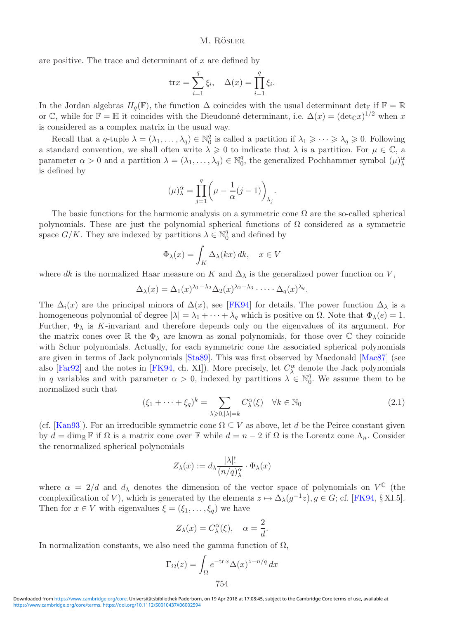are positive. The trace and determinant of  $x$  are defined by

$$
\text{tr} x = \sum_{i=1}^{q} \xi_i, \quad \Delta(x) = \prod_{i=1}^{q} \xi_i.
$$

In the Jordan algebras  $H_q(\mathbb{F})$ , the function  $\Delta$  coincides with the usual determinant det<sub>F</sub> if  $\mathbb{F} = \mathbb{R}$ or C, while for  $\mathbb{F} = \mathbb{H}$  it coincides with the Dieudonné determinant, i.e.  $\Delta(x) = (\det_{\mathbb{C}} x)^{1/2}$  when x is considered as a complex matrix in the usual way.

Recall that a q-tuple  $\lambda = (\lambda_1, \ldots, \lambda_q) \in \mathbb{N}_0^q$  is called a partition if  $\lambda_1 \geq \cdots \geq \lambda_q \geq 0$ . Following a standard convention, we shall often write  $\lambda \geq 0$  to indicate that  $\lambda$  is a partition. For  $\mu \in \mathbb{C}$ , a parameter  $\alpha > 0$  and a partition  $\lambda = (\lambda_1, \ldots, \lambda_q) \in \mathbb{N}_0^q$ , the generalized Pochhammer symbol  $(\mu)_{\lambda}^{\alpha}$ is defined by

$$
(\mu)^\alpha_\lambda=\prod_{j=1}^q\biggl(\mu-\frac{1}{\alpha}(j-1)\biggr)_{\lambda_j}.
$$

The basic functions for the harmonic analysis on a symmetric cone  $\Omega$  are the so-called spherical polynomials. These are just the polynomial spherical functions of  $\Omega$  considered as a symmetric space  $G/K$ . They are indexed by partitions  $\lambda \in \mathbb{N}_0^q$  and defined by

$$
\Phi_{\lambda}(x) = \int_{K} \Delta_{\lambda}(kx) \, dk, \quad x \in V
$$

where dk is the normalized Haar measure on K and  $\Delta_{\lambda}$  is the generalized power function on V,

$$
\Delta_{\lambda}(x) = \Delta_1(x)^{\lambda_1 - \lambda_2} \Delta_2(x)^{\lambda_2 - \lambda_3} \cdot \dots \cdot \Delta_q(x)^{\lambda_q}.
$$

The  $\Delta_i(x)$  are the principal minors of  $\Delta(x)$ , see [\[FK94\]](#page-29-6) for details. The power function  $\Delta_{\lambda}$  is a homogeneous polynomial of degree  $|\lambda| = \lambda_1 + \cdots + \lambda_q$  which is positive on  $\Omega$ . Note that  $\Phi_{\lambda}(e) = 1$ . Further,  $\Phi_{\lambda}$  is K-invariant and therefore depends only on the eigenvalues of its argument. For the matrix cones over R the  $\Phi_{\lambda}$  are known as zonal polynomials, for those over C they coincide with Schur polynomials. Actually, for each symmetric cone the associated spherical polynomials are given in terms of Jack polynomials [\[Sta89\]](#page-30-9). This was first observed by Macdonald [\[Mac87\]](#page-30-4) (see also [\[Far92\]](#page-29-10) and the notes in [\[FK94,](#page-29-6) ch. XI]). More precisely, let  $C^{\alpha}_{\lambda}$  denote the Jack polynomials in q variables and with parameter  $\alpha > 0$ , indexed by partitions  $\lambda \in \mathbb{N}_0^q$ . We assume them to be normalized such that

$$
(\xi_1 + \dots + \xi_q)^k = \sum_{\lambda \ge 0, |\lambda| = k} C_{\lambda}^{\alpha}(\xi) \quad \forall k \in \mathbb{N}_0
$$
\n(2.1)

<span id="page-5-0"></span>(cf. [\[Kan93\]](#page-30-5)). For an irreducible symmetric cone  $\Omega \subseteq V$  as above, let d be the Peirce constant given by  $d = \dim_{\mathbb{R}} \mathbb{F}$  if  $\Omega$  is a matrix cone over  $\mathbb{F}$  while  $d = n - 2$  if  $\Omega$  is the Lorentz cone  $\Lambda_n$ . Consider the renormalized spherical polynomials

$$
Z_{\lambda}(x) := d_{\lambda} \frac{|\lambda|!}{(n/q)_{\lambda}^{\alpha}} \cdot \Phi_{\lambda}(x)
$$

where  $\alpha = 2/d$  and  $d_{\lambda}$  denotes the dimension of the vector space of polynomials on  $V^{\mathbb{C}}$  (the complexification of V), which is generated by the elements  $z \mapsto \Delta_{\lambda}(g^{-1}z), g \in G$ ; cf. [\[FK94,](#page-29-6) § XI.5]. Then for  $x \in V$  with eigenvalues  $\xi = (\xi_1, \ldots, \xi_q)$  we have

$$
Z_{\lambda}(x) = C_{\lambda}^{\alpha}(\xi), \quad \alpha = \frac{2}{d}.
$$

In normalization constants, we also need the gamma function of  $\Omega$ ,

$$
\Gamma_{\Omega}(z) = \int_{\Omega} e^{-\text{tr} \, x} \Delta(x)^{z - n/q} \, dx
$$
\n754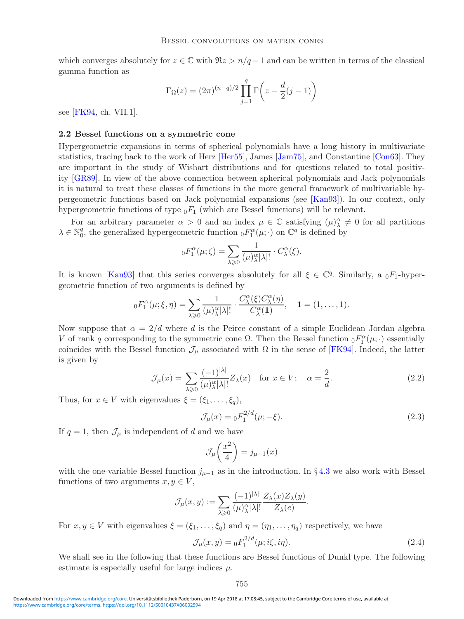which converges absolutely for  $z \in \mathbb{C}$  with  $\Re z > n/q - 1$  and can be written in terms of the classical gamma function as

$$
\Gamma_{\Omega}(z) = (2\pi)^{(n-q)/2} \prod_{j=1}^{q} \Gamma\left(z - \frac{d}{2}(j-1)\right)
$$

<span id="page-6-0"></span>see [\[FK94,](#page-29-6) ch. VII.1].

# **2.2 Bessel functions on a symmetric cone**

Hypergeometric expansions in terms of spherical polynomials have a long history in multivariate statistics, tracing back to the work of Herz [\[Her55\]](#page-29-2), James [\[Jam75\]](#page-29-5), and Constantine [\[Con63\]](#page-29-3). They are important in the study of Wishart distributions and for questions related to total positivity [\[GR89\]](#page-29-11). In view of the above connection between spherical polynomials and Jack polynomials it is natural to treat these classes of functions in the more general framework of multivariable hypergeometric functions based on Jack polynomial expansions (see [\[Kan93\]](#page-30-5)). In our context, only hypergeometric functions of type  $_0F_1$  (which are Bessel functions) will be relevant.

For an arbitrary parameter  $\alpha > 0$  and an index  $\mu \in \mathbb{C}$  satisfying  $(\mu)_{\lambda}^{\alpha} \neq 0$  for all partitions  $\lambda \in \mathbb{N}_0^q$ , the generalized hypergeometric function  ${}_0F_1^{\alpha}(\mu;\cdot)$  on  $\mathbb{C}^q$  is defined by

$$
{}_{0}F_{1}^{\alpha}(\mu;\xi) = \sum_{\lambda \geq 0} \frac{1}{(\mu)_{\lambda}^{\alpha} |\lambda|!} \cdot C_{\lambda}^{\alpha}(\xi).
$$

It is known [\[Kan93\]](#page-30-5) that this series converges absolutely for all  $\xi \in \mathbb{C}^q$ . Similarly, a  $_0F_1$ -hypergeometric function of two arguments is defined by

$$
{}_{0}F_{1}^{\alpha}(\mu;\xi,\eta)=\sum_{\lambda\geqslant 0}\frac{1}{(\mu)_{\lambda}^{\alpha}|\lambda|!}\cdot\frac{C_{\lambda}^{\alpha}(\xi)C_{\lambda}^{\alpha}(\eta)}{C_{\lambda}^{\alpha}(1)},\quad 1=(1,\ldots,1).
$$

<span id="page-6-1"></span>Now suppose that  $\alpha = 2/d$  where d is the Peirce constant of a simple Euclidean Jordan algebra V of rank q corresponding to the symmetric cone  $\Omega$ . Then the Bessel function  ${}_0F_1^{\alpha}(\mu;\cdot)$  essentially coincides with the Bessel function  $\mathcal{J}_{\mu}$  associated with  $\Omega$  in the sense of [\[FK94\]](#page-29-6). Indeed, the latter is given by

$$
\mathcal{J}_{\mu}(x) = \sum_{\lambda \geqslant 0} \frac{(-1)^{|\lambda|}}{(\mu)_{\lambda}^{\alpha} |\lambda|!} Z_{\lambda}(x) \quad \text{for } x \in V; \quad \alpha = \frac{2}{d}.
$$

Thus, for  $x \in V$  with eigenvalues  $\xi = (\xi_1, \ldots, \xi_q)$ ,

$$
\mathcal{J}_{\mu}(x) = {}_0F_1^{2/d}(\mu; -\xi). \tag{2.3}
$$

If  $q = 1$ , then  $\mathcal{J}_{\mu}$  is independent of d and we have

$$
\mathcal{J}_{\mu}\left(\frac{x^2}{4}\right) = j_{\mu-1}(x)
$$

with the one-variable Bessel function  $j_{\mu-1}$  as in the introduction. In §[4.3](#page-27-1) we also work with Bessel functions of two arguments  $x, y \in V$ ,

$$
\mathcal{J}_{\mu}(x,y) := \sum_{\lambda \geqslant 0} \frac{(-1)^{|\lambda|}}{(\mu)_{\lambda}^{\alpha} |\lambda|!} \frac{Z_{\lambda}(x) Z_{\lambda}(y)}{Z_{\lambda}(e)}.
$$

For  $x, y \in V$  with eigenvalues  $\xi = (\xi_1, \ldots, \xi_q)$  and  $\eta = (\eta_1, \ldots, \eta_q)$  respectively, we have

<span id="page-6-2"></span>
$$
\mathcal{J}_{\mu}(x,y) = {}_0F_1^{2/d}(\mu;i\xi,i\eta).
$$
 (2.4)

We shall see in the following that these functions are Bessel functions of Dunkl type. The following estimate is especially useful for large indices  $\mu$ .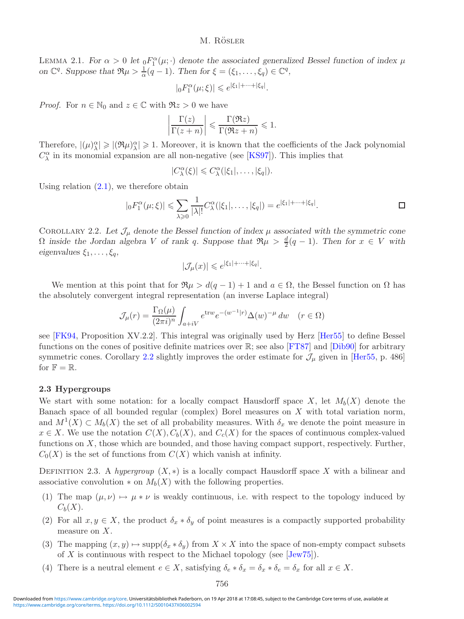LEMMA 2.1. *For*  $\alpha > 0$  *let*  $_0F_1^{\alpha}(\mu; \cdot)$  *denote the associated generalized Bessel function of index*  $\mu$ *on*  $\mathbb{C}^q$ *. Suppose that*  $\Re \mu > \frac{1}{\alpha}(q-1)$ *. Then for*  $\xi = (\xi_1, \ldots, \xi_q) \in \mathbb{C}^q$ *,* 

$$
|{}_0F^\alpha_1(\mu;\xi)|\leqslant e^{|\xi_1|+\cdots+|\xi_q|}.
$$

*Proof.* For  $n \in \mathbb{N}_0$  and  $z \in \mathbb{C}$  with  $\Re z > 0$  we have

$$
\left|\frac{\Gamma(z)}{\Gamma(z+n)}\right| \leqslant \frac{\Gamma(\Re z)}{\Gamma(\Re z+n)} \leqslant 1.
$$

Therefore,  $|(\mu)_{\lambda}^{\alpha}| \geqslant |(\Re \mu)_{\lambda}^{\alpha}| \geqslant 1$ . Moreover, it is known that the coefficients of the Jack polynomial  $C_{\lambda}^{\alpha}$  in its monomial expansion are all non-negative (see [\[KS97\]](#page-30-10)). This implies that

$$
|C_{\lambda}^{\alpha}(\xi)| \leqslant C_{\lambda}^{\alpha}(|\xi_1|,\ldots,|\xi_q|).
$$

Using relation  $(2.1)$ , we therefore obtain

$$
|{}_0F_1^{\alpha}(\mu;\xi)| \leq \sum_{\lambda \geq 0} \frac{1}{|\lambda|!} C_{\lambda}^{\alpha}(|\xi_1|,\ldots,|\xi_q|) = e^{|\xi_1|+\cdots+|\xi_q|}.
$$

<span id="page-7-1"></span>COROLLARY 2.2. Let  $\mathcal{J}_{\mu}$  denote the Bessel function of index  $\mu$  associated with the symmetric cone  $\Omega$  *inside the Jordan algebra* V *of rank* q*.* Suppose that  $\Re \mu > \frac{d}{2}(q-1)$ *. Then for*  $x \in V$  *with eigenvalues*  $\xi_1, \ldots, \xi_q$ *,* 

$$
|\mathcal{J}_{\mu}(x)| \leqslant e^{|\xi_1| + \dots + |\xi_q|}.
$$

We mention at this point that for  $\Re \mu > d(q - 1) + 1$  and  $a \in \Omega$ , the Bessel function on  $\Omega$  has the absolutely convergent integral representation (an inverse Laplace integral)

$$
\mathcal{J}_{\mu}(r) = \frac{\Gamma_{\Omega}(\mu)}{(2\pi i)^n} \int_{a+iV} e^{\text{tr}w} e^{-(w^{-1}|r)} \Delta(w)^{-\mu} dw \quad (r \in \Omega)
$$

see [\[FK94,](#page-29-6) Proposition XV.2.2]. This integral was originally used by Herz [\[Her55\]](#page-29-2) to define Bessel functions on the cones of positive definite matrices over R; see also [\[FT87\]](#page-29-1) and [\[Dib90\]](#page-29-12) for arbitrary symmetric cones. Corollary [2.2](#page-7-1) slightly improves the order estimate for  $\mathcal{J}_{\mu}$  given in [\[Her55,](#page-29-2) p. 486] for  $\mathbb{F} = \mathbb{R}$ .

# <span id="page-7-0"></span>**2.3 Hypergroups**

We start with some notation: for a locally compact Hausdorff space X, let  $M_b(X)$  denote the Banach space of all bounded regular (complex) Borel measures on X with total variation norm, and  $M^1(X) \subset M_b(X)$  the set of all probability measures. With  $\delta_x$  we denote the point measure in  $x \in X$ . We use the notation  $C(X)$ ,  $C_b(X)$ , and  $C_c(X)$  for the spaces of continuous complex-valued functions on  $X$ , those which are bounded, and those having compact support, respectively. Further,  $C_0(X)$  is the set of functions from  $C(X)$  which vanish at infinity.

DEFINITION 2.3. A *hypergroup*  $(X, *)$  is a locally compact Hausdorff space X with a bilinear and associative convolution  $*$  on  $M_b(X)$  with the following properties.

- (1) The map  $(\mu, \nu) \mapsto \mu * \nu$  is weakly continuous, i.e. with respect to the topology induced by  $C_b(X)$ .
- (2) For all  $x, y \in X$ , the product  $\delta_x * \delta_y$  of point measures is a compactly supported probability measure on X.
- (3) The mapping  $(x, y) \mapsto \text{supp}(\delta_x * \delta_y)$  from  $X \times X$  into the space of non-empty compact subsets of X is continuous with respect to the Michael topology (see  $[Jew75]$ ).
- (4) There is a neutral element  $e \in X$ , satisfying  $\delta_e * \delta_x = \delta_x * \delta_e = \delta_x$  for all  $x \in X$ .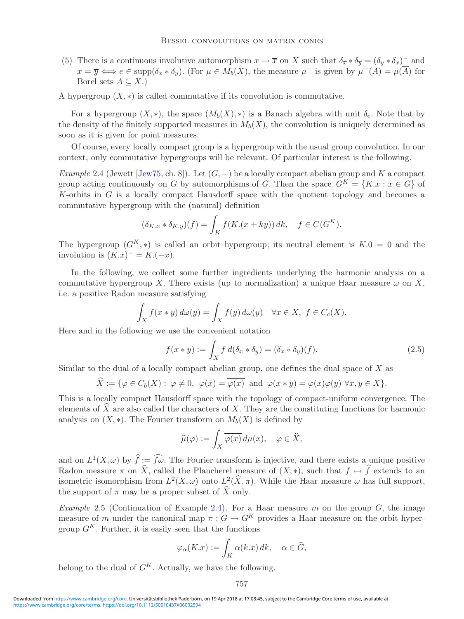(5) There is a continuous involutive automorphism  $x \mapsto \overline{x}$  on X such that  $\delta_{\overline{x}} * \delta_{\overline{y}} = (\delta_y * \delta_x)^{-}$  and  $x = \overline{y} \Longleftrightarrow e \in \text{supp}(\delta_x * \delta_y)$ . (For  $\mu \in M_b(X)$ , the measure  $\mu^-$  is given by  $\mu^-(A) = \mu(\overline{A})$  for Borel sets  $A \subseteq X$ .)

A hypergroup  $(X, *)$  is called commutative if its convolution is commutative.

For a hypergroup  $(X, *)$ , the space  $(M_b(X), *)$  is a Banach algebra with unit  $\delta_e$ . Note that by the density of the finitely supported measures in  $M_b(X)$ , the convolution is uniquely determined as soon as it is given for point measures.

<span id="page-8-0"></span>Of course, every locally compact group is a hypergroup with the usual group convolution. In our context, only commutative hypergroups will be relevant. Of particular interest is the following.

*Example* 2.4 (Jewett [\[Jew75,](#page-30-2) ch. 8]). Let  $(G, +)$  be a locally compact abelian group and K a compact group acting continuously on G by automorphisms of G. Then the space  $G^{K} = \{K.x : x \in G\}$  of K-orbits in  $G$  is a locally compact Hausdorff space with the quotient topology and becomes a commutative hypergroup with the (natural) definition

$$
(\delta_{K,x} * \delta_{K,y})(f) = \int_K f(K.(x+ky)) \, dk, \quad f \in C(G^K).
$$

The hypergroup  $(G^K, *)$  is called an orbit hypergroup; its neutral element is  $K.0 = 0$  and the involution is  $(K.x)^{-} = K.(-x)$ .

In the following, we collect some further ingredients underlying the harmonic analysis on a commutative hypergroup X. There exists (up to normalization) a unique Haar measure  $\omega$  on X, i.e. a positive Radon measure satisfying

$$
\int_X f(x * y) d\omega(y) = \int_X f(y) d\omega(y) \quad \forall x \in X, \ f \in C_c(X).
$$

Here and in the following we use the convenient notation

<span id="page-8-1"></span>
$$
f(x * y) := \int_X f d(\delta_x * \delta_y) = (\delta_x * \delta_y)(f).
$$
 (2.5)

Similar to the dual of a locally compact abelian group, one defines the dual space of  $X$  as

$$
\widehat{X} := \{ \varphi \in C_b(X) : \varphi \neq 0, \ \varphi(\bar{x}) = \overline{\varphi(x)} \text{ and } \varphi(x * y) = \varphi(x)\varphi(y) \ \forall x, y \in X \}.
$$

This is a locally compact Hausdorff space with the topology of compact-uniform convergence. The elements of  $\widehat{X}$  are also called the characters of X. They are the constituting functions for harmonic analysis on  $(X, *)$ . The Fourier transform on  $M_b(X)$  is defined by

$$
\widehat{\mu}(\varphi) := \int_X \overline{\varphi(x)} \, d\mu(x), \quad \varphi \in \widehat{X},
$$

and on  $L^1(X, \omega)$  by  $\widehat{f} := \widehat{f\omega}$ . The Fourier transform is injective, and there exists a unique positive Radon measure  $\pi$  on X, called the Plancherel measure of  $(X, *)$ , such that  $f \mapsto f$  extends to an isometric isomorphism from  $L^2(X,\omega)$  onto  $L^2(\widehat{X},\pi)$ . While the Haar measure  $\omega$  has full support, the support of  $\pi$  may be a proper subset of  $\widehat{X}$  only.

*Example* 2.5 (Continuation of Example [2.4\)](#page-8-0). For a Haar measure m on the group  $G$ , the image measure of m under the canonical map  $\pi$ :  $G \to G^K$  provides a Haar measure on the orbit hypergroup  $G^K$ . Further, it is easily seen that the functions

$$
\varphi_{\alpha}(K.x) := \int_{K} \alpha(k.x) \, dk, \quad \alpha \in \widehat{G},
$$

belong to the dual of  $G^K$ . Actually, we have the following.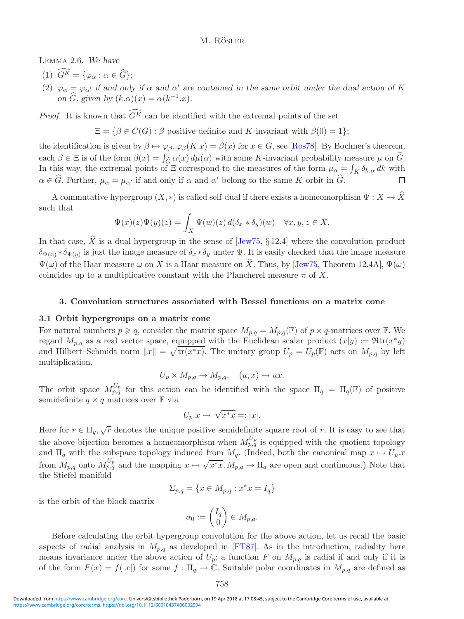<span id="page-9-2"></span>Lemma 2.6. *We have*

- (1)  $G^K = {\varphi_\alpha : \alpha \in \hat{G}};$
- (2)  $\varphi_{\alpha} = \varphi_{\alpha'}$  if and only if  $\alpha$  and  $\alpha'$  are contained in the same orbit under the dual action of K *on*  $\widehat{G}$ *, given by*  $(k.\alpha)(x) = \alpha(k^{-1}.x)$ *.*

*Proof.* It is known that  $G^K$  can be identified with the extremal points of the set

 $\Xi = \{ \beta \in C(G) : \beta \text{ positive definite and } K\text{-invariant with } \beta(0) = 1 \};$ 

the identification is given by  $\beta \mapsto \varphi_{\beta}, \varphi_{\beta}(K.x) = \beta(x)$  for  $x \in G$ , see [\[Ros78\]](#page-30-11). By Bochner's theorem, each  $\beta \in \Xi$  is of the form  $\beta(x) = \int_{\widehat{\mathcal{C}}} \alpha(x) d\mu(\alpha)$  with some K-invariant probability measure  $\mu$  on  $\widehat{G}$ . In this way, the extremal points of  $\Xi$  correspond to the measures of the form  $\mu_{\alpha} = \int_K \delta_{k,\alpha} dk$  with  $\alpha \in G$ . Further,  $\mu_{\alpha} = \mu_{\alpha'}$  if and only if  $\alpha$  and  $\alpha'$  belong to the same K-orbit in G. П

A commutative hypergroup  $(X, *)$  is called self-dual if there exists a homeomorphism  $\Psi : X \to \hat{X}$ such that

$$
\Psi(x)(z)\Psi(y)(z) = \int_X \Psi(w)(z) d(\delta_x * \delta_y)(w) \quad \forall x, y, z \in X.
$$

In that case,  $\hat{X}$  is a dual hypergroup in the sense of [\[Jew75,](#page-30-2) § 12.4] where the convolution product  $\delta_{\Psi(x)} * \delta_{\Psi(y)}$  is just the image measure of  $\delta_x * \delta_y$  under  $\Psi$ . It is easily checked that the image measure  $\Psi(\omega)$  of the Haar measure  $\omega$  on X is a Haar measure on  $\hat{X}$ . Thus, by [\[Jew75,](#page-30-2) Theorem 12.4A],  $\Psi(\omega)$ coincides up to a multiplicative constant with the Plancherel measure  $\pi$  of X.

# **3. Convolution structures associated with Bessel functions on a matrix cone**

#### <span id="page-9-1"></span><span id="page-9-0"></span>**3.1 Orbit hypergroups on a matrix cone**

For natural numbers  $p \geq q$ , consider the matrix space  $M_{p,q} = M_{p,q}(\mathbb{F})$  of  $p \times q$ -matrices over  $\mathbb{F}$ . We regard  $M_{p,q}$  as a real vector space, equipped with the Euclidean scalar product  $(x|y) := \Re \text{tr}(x^*y)$ and Hilbert–Schmidt norm  $||x|| = \sqrt{\text{tr}(x^*x)}$ . The unitary group  $U_p = U_p(\mathbb{F})$  acts on  $M_{p,q}$  by left multiplication,

$$
U_p \times M_{p,q} \to M_{p,q}, \quad (u, x) \mapsto ux.
$$

The orbit space  $M_{p,q}^{U_p}$  for this action can be identified with the space  $\Pi_q = \Pi_q(\mathbb{F})$  of positive semidefinite  $q \times q$  matrices over  $\mathbb F$  via

$$
U_p \mathbf{x} \mapsto \sqrt{x^*x} =: |x|.
$$

Here for  $r \in \Pi_q$ ,  $\sqrt{r}$  denotes the unique positive semidefinite square root of r. It is easy to see that the above bijection becomes a homeomorphism when  $M_{p,q}^{U_p}$  is equipped with the quotient topology and  $\Pi_q$  with the subspace topology induced from  $M_q$ . (Indeed, both the canonical map  $x \mapsto U_p.x$ from  $M_{p,q}$  onto  $M_{p,q}^{U_p}$  and the mapping  $x \mapsto \sqrt{x^*x}$ ,  $M_{p,q} \to \Pi_q$  are open and continuous.) Note that the Stiefel manifold

$$
\Sigma_{p,q} = \{x \in M_{p,q} : x^*x = I_q\}
$$

is the orbit of the block matrix

$$
\sigma_0 := \begin{pmatrix} I_q \\ 0 \end{pmatrix} \in M_{p,q}.
$$

Before calculating the orbit hypergroup convolution for the above action, let us recall the basic aspects of radial analysis in  $M_{p,q}$  as developed in [\[FT87\]](#page-29-1). As in the introduction, radiality here means invariance under the above action of  $U_p$ ; a function F on  $M_{p,q}$  is radial if and only if it is of the form  $F(x) = f(|x|)$  for some  $f : \Pi_q \to \mathbb{C}$ . Suitable polar coordinates in  $M_{p,q}$  are defined as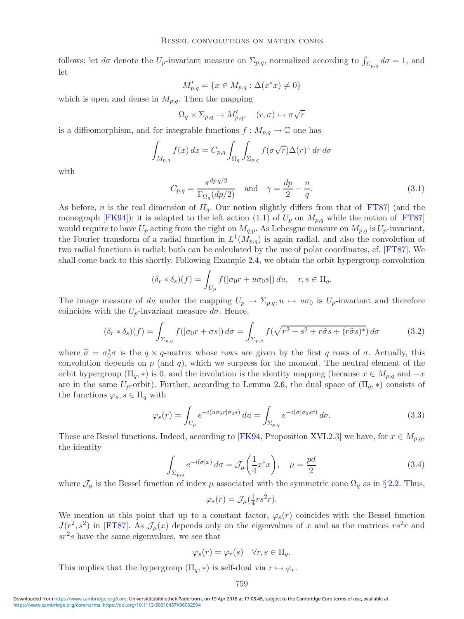follows: let  $d\sigma$  denote the  $U_p$ -invariant measure on  $\Sigma_{p,q}$ , normalized according to  $\int_{\Sigma_{p,q}} d\sigma = 1$ , and let

$$
M'_{p,q} = \{ x \in M_{p,q} : \Delta(x^*x) \neq 0 \}
$$

which is open and dense in  $M_{p,q}$ . Then the mapping

$$
\Omega_q \times \Sigma_{p,q} \to M'_{p,q}, \quad (r, \sigma) \mapsto \sigma \sqrt{r}
$$

is a diffeomorphism, and for integrable functions  $f : M_{p,q} \to \mathbb{C}$  one has

$$
\int_{M_{p,q}} f(x) dx = C_{p,q} \int_{\Omega_q} \int_{\Sigma_{p,q}} f(\sigma \sqrt{r}) \Delta(r)^{\gamma} dr d\sigma
$$

with

$$
C_{p,q} = \frac{\pi^{dp\,q/2}}{\Gamma_{\Omega_q}(dp/2)} \quad \text{and} \quad \gamma = \frac{dp}{2} - \frac{n}{q}.\tag{3.1}
$$

As before, n is the real dimension of  $H_q$ . Our notion slightly differs from that of [\[FT87\]](#page-29-1) (and the monograph [\[FK94\]](#page-29-6)); it is adapted to the left action [\(1.1\)](#page-1-0) of  $U_p$  on  $M_{p,q}$  while the notion of [\[FT87\]](#page-29-1) would require to have  $U_p$  acting from the right on  $M_{q,p}$ . As Lebesgue measure on  $M_{p,q}$  is  $U_p$ -invariant, the Fourier transform of a radial function in  $L^1(M_{p,q})$  is again radial, and also the convolution of two radial functions is radial; both can be calculated by the use of polar coordinates, cf. [\[FT87\]](#page-29-1). We shall come back to this shortly. Following Example [2.4,](#page-8-0) we obtain the orbit hypergroup convolution

<span id="page-10-0"></span>
$$
(\delta_r * \delta_s)(f) = \int_{U_p} f(|\sigma_0 r + u \sigma_0 s|) du, \quad r, s \in \Pi_q.
$$

The image measure of du under the mapping  $U_p \to \Sigma_{p,q}, u \mapsto u\sigma_0$  is  $U_p$ -invariant and therefore coincides with the  $U_p$ -invariant measure  $d\sigma$ . Hence,

$$
(\delta_r * \delta_s)(f) = \int_{\Sigma_{p,q}} f(|\sigma_0 r + \sigma s|) d\sigma = \int_{\Sigma_{p,q}} f(\sqrt{r^2 + s^2 + r\tilde{\sigma}s + (r\tilde{\sigma}s)^*}) d\sigma \tag{3.2}
$$

where  $\tilde{\sigma} = \sigma_0^* \sigma$  is the  $q \times q$ -matrix whose rows are given by the first q rows of  $\sigma$ . Actually, this convolution depends on  $p_i$  (and  $q$ ), which we surpress for the moment. The neutral element of the convolution depends on  $p$  (and  $q$ ), which we surpress for the moment. The neutral element of the orbit hypergroup ( $\Pi_q$ , \*) is 0, and the involution is the identity mapping (because  $x \in M_{p,q}$  and  $-x$ are in the same  $U_p$ -orbit). Further, according to Lemma [2.6,](#page-9-2) the dual space of  $(\Pi_q, *)$  consists of the functions  $\varphi_s, s \in \Pi_q$  with

$$
\varphi_s(r) = \int_{U_p} e^{-i(u\sigma_0 r|\sigma_0 s)} du = \int_{\Sigma_{p,q}} e^{-i(\sigma|\sigma_0 s r)} d\sigma.
$$
\n(3.3)

<span id="page-10-1"></span>These are Bessel functions. Indeed, according to [\[FK94,](#page-29-6) Proposition XVI.2.3] we have, for  $x \in M_{p,q}$ , the identity

$$
\int_{\Sigma_{p,q}} e^{-i(\sigma|x)} d\sigma = \mathcal{J}_{\mu}\left(\frac{1}{4}x^*x\right), \quad \mu = \frac{pd}{2} \tag{3.4}
$$

where  $\mathcal{J}_\mu$  is the Bessel function of index  $\mu$  associated with the symmetric cone  $\Omega_q$  as in §[2.2.](#page-6-0) Thus,

$$
\varphi_s(r) = \mathcal{J}_{\mu}(\frac{1}{4}rs^2r).
$$

We mention at this point that up to a constant factor,  $\varphi_s(r)$  coincides with the Bessel function  $J(r^2, s^2)$  in [\[FT87\]](#page-29-1). As  $\mathcal{J}_{\mu}(x)$  depends only on the eigenvalues of x and as the matrices  $rs^2r$  and  $sr<sup>2</sup>s$  have the same eigenvalues, we see that

$$
\varphi_s(r) = \varphi_r(s) \quad \forall r, s \in \Pi_q.
$$

This implies that the hypergroup  $(\Pi_q, *)$  is self-dual via  $r \mapsto \varphi_r$ .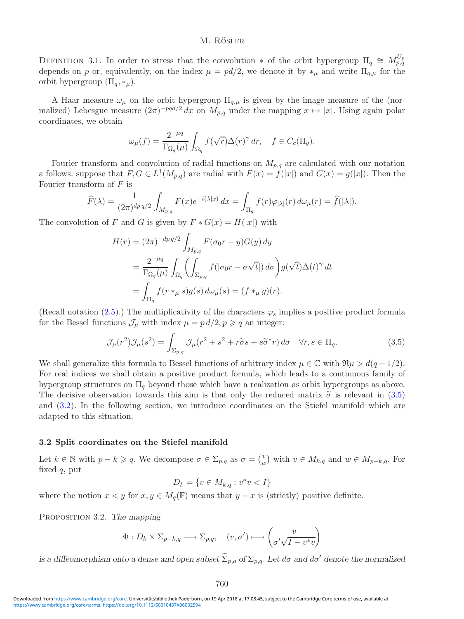DEFINITION 3.1. In order to stress that the convolution  $*$  of the orbit hypergroup  $\Pi_q \cong M_{p,q}^{U_p}$ depends on p or, equivalently, on the index  $\mu = pd/2$ , we denote it by  $*_\mu$  and write  $\Pi_{q,\mu}$  for the orbit hypergroup  $(\Pi_q, *_{\mu}).$ 

A Haar measure  $\omega_{\mu}$  on the orbit hypergroup  $\Pi_{q,\mu}$  is given by the image measure of the (normalized) Lebesgue measure  $(2\pi)^{-pqd/2} dx$  on  $M_{p,q}$  under the mapping  $x \mapsto |x|$ . Using again polar coordinates, we obtain

$$
\omega_{\mu}(f) = \frac{2^{-\mu q}}{\Gamma_{\Omega_q}(\mu)} \int_{\Omega_q} f(\sqrt{r}) \Delta(r)^{\gamma} dr, \quad f \in C_c(\Pi_q).
$$

Fourier transform and convolution of radial functions on  $M_{p,q}$  are calculated with our notation a follows: suppose that  $F, G \in L^1(M_{p,q})$  are radial with  $F(x) = f(|x|)$  and  $G(x) = g(|x|)$ . Then the Fourier transform of  $F$  is

$$
\widehat{F}(\lambda) = \frac{1}{(2\pi)^{dp\,q/2}} \int_{M_{p,q}} F(x) e^{-i(\lambda|x)} \, dx = \int_{\Pi_q} f(r) \varphi_{|\lambda|}(r) \, d\omega_\mu(r) = \widehat{f}(|\lambda|).
$$

The convolution of F and G is given by  $F * G(x) = H(|x|)$  with

$$
H(r) = (2\pi)^{-dp\,q/2} \int_{M_{p,q}} F(\sigma_0 r - y) G(y) \, dy
$$
  
= 
$$
\frac{2^{-\mu q}}{\Gamma_{\Omega_q}(\mu)} \int_{\Omega_q} \left( \int_{\Sigma_{p,q}} f(|\sigma_0 r - \sigma \sqrt{t}|) \, d\sigma \right) g(\sqrt{t}) \Delta(t)^\gamma \, dt
$$
  
= 
$$
\int_{\Pi_q} f(r \ast_\mu s) g(s) \, d\omega_\mu(s) = (f \ast_\mu g)(r).
$$

(Recall notation [\(2.5\)](#page-8-1).) The multiplicativity of the characters  $\varphi_s$  implies a positive product formula for the Bessel functions  $\mathcal{J}_{\mu}$  with index  $\mu = p d/2, p \geqslant q$  an integer:

<span id="page-11-0"></span>
$$
\mathcal{J}_{\mu}(r^2)\mathcal{J}_{\mu}(s^2) = \int_{\Sigma_{p,q}} \mathcal{J}_{\mu}(r^2 + s^2 + r\tilde{\sigma}s + s\tilde{\sigma}^*r) d\sigma \quad \forall r, s \in \Pi_q.
$$
 (3.5)

We shall generalize this formula to Bessel functions of arbitrary index  $\mu \in \mathbb{C}$  with  $\Re \mu > d(q - 1/2)$ . For real indices we shall obtain a positive product formula, which leads to a continuous family of hypergroup structures on  $\Pi_q$  beyond those which have a realization as orbit hypergroups as above. The decisive observation towards this aim is that only the reduced matrix  $\tilde{\sigma}$  is relevant in [\(3.5\)](#page-11-0) and [\(3.2\)](#page-10-0). In the following section, we introduce coordinates on the Stiefel manifold which are adapted to this situation.

# **3.2 Split coordinates on the Stiefel manifold**

Let  $k \in \mathbb{N}$  with  $p - k \geqslant q$ . We decompose  $\sigma \in \Sigma_{p,q}$  as  $\sigma = {v \choose w}$  with  $v \in M_{k,q}$  and  $w \in M_{p-k,q}$ . For fixed q, put

$$
D_k = \{ v \in M_{k,q} : v^*v < I \}
$$

where the notion  $x < y$  for  $x, y \in M_q(\mathbb{F})$  means that  $y - x$  is (strictly) positive definite.

Proposition 3.2. *The mapping*

$$
\Phi: D_k \times \Sigma_{p-k,q} \longrightarrow \Sigma_{p,q}, \quad (v, \sigma') \longmapsto \begin{pmatrix} v \\ \sigma'\sqrt{I - v^*v} \end{pmatrix}
$$

*is a diffeomorphism onto a dense and open subset*  $\Sigma_{p,q}$  *of*  $\Sigma_{p,q}$ *. Let*  $d\sigma$  *and*  $d\sigma'$  *denote the normalized*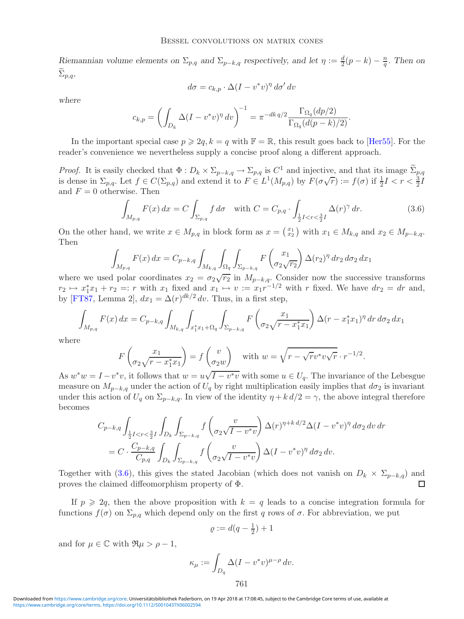*Riemannian volume elements on*  $\Sigma_{p,q}$  *and*  $\Sigma_{p-k,q}$  *respectively, and let*  $\eta := \frac{d}{2}(p-k) - \frac{n}{q}$ *. Then on* <sup>Σ</sup> p,q*,*

$$
d\sigma = c_{k,p} \cdot \Delta (I - v^*v)^\eta \, d\sigma' \, dv
$$

*where*

$$
c_{k,p} = \left(\int_{D_k} \Delta (I - v^*v)^{\eta} dv\right)^{-1} = \pi^{-dk q/2} \frac{\Gamma_{\Omega_q}(dp/2)}{\Gamma_{\Omega_q}(d(p-k)/2)}.
$$

In the important special case  $p \geqslant 2q$ ,  $k = q$  with  $\mathbb{F} = \mathbb{R}$ , this result goes back to [\[Her55\]](#page-29-2). For the reader's convenience we nevertheless supply a concise proof along a different approach.

*Proof.* It is easily checked that  $\Phi: D_k \times \Sigma_{p-k,q} \to \Sigma_{p,q}$  is  $C^1$  and injective, and that its image  $\widetilde{\Sigma}_{p,q}$ is dense in  $\Sigma_{p,q}$ . Let  $f \in C(\Sigma_{p,q})$  and extend it to  $F \in L^1(M_{p,q})$  by  $F(\sigma\sqrt{r}) := f(\sigma)$  if  $\frac{1}{2}I < r < \frac{3}{2}I$ and  $F = 0$  otherwise. Then

<span id="page-12-0"></span>
$$
\int_{M_{p,q}} F(x) dx = C \int_{\Sigma_{p,q}} f d\sigma \quad \text{with } C = C_{p,q} \cdot \int_{\frac{1}{2}I < r < \frac{3}{2}I} \Delta(r)^\gamma dr. \tag{3.6}
$$

On the other hand, we write  $x \in M_{p,q}$  in block form as  $x = \begin{pmatrix} x_1 \\ x_2 \end{pmatrix}$  with  $x_1 \in M_{k,q}$  and  $x_2 \in M_{p-k,q}$ . Then

$$
\int_{M_{p,q}} F(x) dx = C_{p-k,q} \int_{M_{k,q}} \int_{\Omega_q} \int_{\Sigma_{p-k,q}} F\left(\frac{x_1}{\sigma_2 \sqrt{r_2}}\right) \Delta(r_2)^{\eta} dr_2 d\sigma_2 dx_1
$$

where we used polar coordinates  $x_2 = \sigma_2 \sqrt{r_2}$  in  $M_{p-k,q}$ . Consider now the successive transforms  $r_2 \mapsto x_1^*x_1 + r_2 =: r$  with  $x_1$  fixed and  $x_1 \mapsto v := x_1r^{-1/2}$  with r fixed. We have  $dr_2 = dr$  and, by [\[FT87,](#page-29-1) Lemma 2],  $dx_1 = \Delta(r)^{dk/2} dv$ . Thus, in a first step,

$$
\int_{M_{p,q}} F(x) dx = C_{p-k,q} \int_{M_{k,q}} \int_{x_1^* x_1 + \Omega_q} \int_{\Sigma_{p-k,q}} F\left(\frac{x_1}{\sigma_2 \sqrt{r - x_1^* x_1}}\right) \Delta (r - x_1^* x_1)^{\eta} dr d\sigma_2 dx_1
$$

where

$$
F\left(\frac{x_1}{\sigma_2\sqrt{r-x_1^*x_1}}\right) = f\left(\frac{v}{\sigma_2 w}\right) \quad \text{with } w = \sqrt{r-\sqrt{r}v^*v\sqrt{r}} \cdot r^{-1/2}.
$$

As  $w^*w = I - v^*v$ , it follows that  $w = u\sqrt{I - v^*v}$  with some  $u \in U_q$ . The invariance of the Lebesgue measure on  $M_{p-k,q}$  under the action of  $U_q$  by right multiplication easily implies that  $d\sigma_2$  is invariant under this action of  $U_q$  on  $\Sigma_{p-k,q}$ . In view of the identity  $\eta + k d/2 = \gamma$ , the above integral therefore becomes

$$
C_{p-k,q} \int_{\frac{1}{2}I < r < \frac{3}{2}I} \int_{D_k} \int_{\Sigma_{p-k,q}} f\left(\frac{v}{\sigma_2 \sqrt{I - v^*v}}\right) \Delta(r)^{\eta + k \, d/2} \Delta(I - v^*v)^{\eta} \, d\sigma_2 \, dv \, dr
$$
\n
$$
= C \cdot \frac{C_{p-k,q}}{C_{p,q}} \int_{D_k} \int_{\Sigma_{p-k,q}} f\left(\frac{v}{\sigma_2 \sqrt{I - v^*v}}\right) \Delta(I - v^*v)^{\eta} \, d\sigma_2 \, dv.
$$

Together with [\(3.6\)](#page-12-0), this gives the stated Jacobian (which does not vanish on  $D_k \times \Sigma_{p-k,q}$ ) and proves the claimed diffeomorphism property of  $\Phi$ proves the claimed diffeomorphism property of Φ.

If  $p \geq 2q$ , then the above proposition with  $k = q$  leads to a concise integration formula for functions  $f(\sigma)$  on  $\Sigma_{p,q}$  which depend only on the first q rows of  $\sigma$ . For abbreviation, we put

$$
\varrho := d(q - \frac{1}{2}) + 1
$$

and for  $\mu \in \mathbb{C}$  with  $\Re \mu > \rho - 1$ ,

$$
\kappa_{\mu} := \int_{D_q} \Delta (I - v^* v)^{\mu - \rho} dv.
$$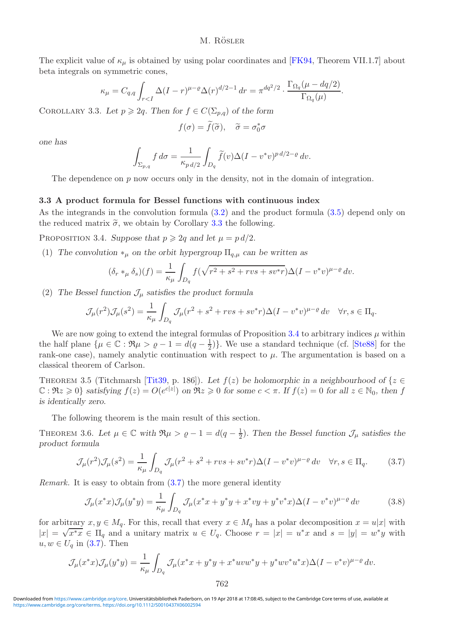The explicit value of  $\kappa_{\mu}$  is obtained by using polar coordinates and [\[FK94,](#page-29-6) Theorem VII.1.7] about beta integrals on symmetric cones,

$$
\kappa_{\mu} = C_{q,q} \int_{r < I} \Delta (I - r)^{\mu - \varrho} \Delta (r)^{d/2 - 1} \, dr = \pi^{dq^2/2} \cdot \frac{\Gamma_{\Omega_q}(\mu - dq/2)}{\Gamma_{\Omega_q}(\mu)}.
$$

<span id="page-13-1"></span>COROLLARY 3.3. Let  $p \geq 2q$ . Then for  $f \in C(\Sigma_{p,q})$  of the form

$$
f(\sigma) = \tilde{f}(\tilde{\sigma}), \quad \tilde{\sigma} = \sigma_0^* \sigma
$$

*one has*

$$
\int_{\Sigma_{p,q}} f d\sigma = \frac{1}{\kappa_{p\,d/2}} \int_{D_q} \widetilde{f}(v) \Delta (I - v^* v)^{p\,d/2 - \varrho} \, dv.
$$

The dependence on p now occurs only in the density, not in the domain of integration.

# <span id="page-13-0"></span>**3.3 A product formula for Bessel functions with continuous index**

<span id="page-13-2"></span>As the integrands in the convolution formula [\(3.2\)](#page-10-0) and the product formula [\(3.5\)](#page-11-0) depend only on the reduced matrix  $\tilde{\sigma}$ , we obtain by Corollary [3.3](#page-13-1) the following.

PROPOSITION 3.4. *Suppose that*  $p \geq 2q$  *and let*  $\mu = p d/2$ *.* 

(1) The convolution  $*_\mu$  on the orbit hypergroup  $\Pi_{q,\mu}$  can be written as

$$
(\delta_r *_\mu \delta_s)(f) = \frac{1}{\kappa_\mu} \int_{D_q} f(\sqrt{r^2 + s^2 + rvs + sv^*r}) \Delta (I - v^*v)^{\mu - \varrho} dv.
$$

(2) The Bessel function  $\mathcal{J}_{\mu}$  satisfies the product formula

$$
\mathcal{J}_{\mu}(r^2)\mathcal{J}_{\mu}(s^2) = \frac{1}{\kappa_{\mu}}\int_{D_q} \mathcal{J}_{\mu}(r^2 + s^2 + rvs + sv^*r)\Delta(I - v^*v)^{\mu - \varrho} dv \quad \forall r, s \in \Pi_q.
$$

We are now going to extend the integral formulas of Proposition [3.4](#page-13-2) to arbitrary indices  $\mu$  within the half plane  $\{\mu \in \mathbb{C} : \Re \mu > \varrho - 1 = d(q - \frac{1}{2})\}$ . We use a standard technique (cf. [\[Ste88\]](#page-30-12) for the rank-one case), namely analytic continuation with respect to  $\mu$ . The argumentation is based on a classical theorem of Carlson.

THEOREM 3.5 (Titchmarsh [\[Tit39,](#page-30-13) p. 186]). Let  $f(z)$  be holomorphic in a neighbourhood of  $\{z \in$  $\mathbb{C}: \Re z \geq 0$  *satisfying*  $f(z) = O(e^{c|z|})$  on  $\Re z \geq 0$  for some  $c < \pi$ . If  $f(z) = 0$  for all  $z \in \mathbb{N}_0$ , then f *is identically zero.*

The following theorem is the main result of this section.

<span id="page-13-5"></span><span id="page-13-3"></span>THEOREM 3.6. Let  $\mu \in \mathbb{C}$  with  $\Re \mu > \varrho - 1 = d(q - \frac{1}{2})$ . Then the Bessel function  $\mathcal{J}_{\mu}$  satisfies the *product formula*

$$
\mathcal{J}_{\mu}(r^2)\mathcal{J}_{\mu}(s^2) = \frac{1}{\kappa_{\mu}} \int_{D_q} \mathcal{J}_{\mu}(r^2 + s^2 + rvs + sv^*r)\Delta(I - v^*v)^{\mu - \varrho} dv \quad \forall r, s \in \Pi_q.
$$
 (3.7)

*Remark.* It is easy to obtain from  $(3.7)$  the more general identity

<span id="page-13-4"></span>
$$
\mathcal{J}_{\mu}(x^*x)\mathcal{J}_{\mu}(y^*y) = \frac{1}{\kappa_{\mu}} \int_{D_q} \mathcal{J}_{\mu}(x^*x + y^*y + x^*vy + y^*v^*x) \Delta(I - v^*v)^{\mu - \varrho} dv \tag{3.8}
$$

for arbitrary  $x, y \in M_q$ . For this, recall that every  $x \in M_q$  has a polar decomposition  $x = u|x|$  with  $|x| = \sqrt{x^*x} \in \Pi_q$  and a unitary matrix  $u \in U_q$ . Choose  $r = |x| = u^*x$  and  $s = |y| = w^*y$  with  $u, w \in U_q$  in [\(3.7\)](#page-13-3). Then

$$
\mathcal{J}_{\mu}(x^*x)\mathcal{J}_{\mu}(y^*y) = \frac{1}{\kappa_{\mu}}\int_{D_q} \mathcal{J}_{\mu}(x^*x + y^*y + x^*uvw^*y + y^*wv^*u^*x)\Delta(I - v^*v)^{\mu - \varrho}dv.
$$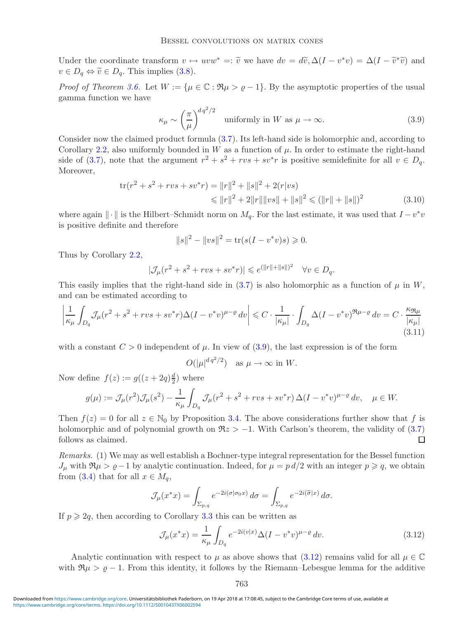Under the coordinate transform  $v \mapsto uvw^* =: \tilde{v}$  we have  $dv = d\tilde{v}, \Delta(I - v^*v) = \Delta(I - \tilde{v}^*\tilde{v})$  and  $v \in D_q \Leftrightarrow \tilde{v} \in D_q$ . This implies [\(3.8\)](#page-13-4).

<span id="page-14-0"></span>*Proof of Theorem [3.6.](#page-13-5)* Let  $W := {\mu \in \mathbb{C} : \Re \mu > \varrho - 1}.$  By the asymptotic properties of the usual gamma function we have

$$
\kappa_{\mu} \sim \left(\frac{\pi}{\mu}\right)^{dq^2/2} \quad \text{uniformly in } W \text{ as } \mu \to \infty. \tag{3.9}
$$

Consider now the claimed product formula [\(3.7\)](#page-13-3). Its left-hand side is holomorphic and, according to Corollary [2.2,](#page-7-1) also uniformly bounded in W as a function of  $\mu$ . In order to estimate the right-hand side of [\(3.7\)](#page-13-3), note that the argument  $r^2 + s^2 + rvs + sv^*r$  is positive semidefinite for all  $v \in D_q$ . Moreover,

$$
\text{tr}(r^2 + s^2 + rvs + sv^*r) = ||r||^2 + ||s||^2 + 2(r|vs)
$$
  
\$\leq ||r||^2 + 2||r|| ||vs|| + ||s||^2 \leq (||r|| + ||s||)^2\$ (3.10)

where again  $\|\cdot\|$  is the Hilbert–Schmidt norm on  $M_q$ . For the last estimate, it was used that  $I-v^*v$ is positive definite and therefore

<span id="page-14-2"></span>
$$
||s||^2 - ||vs||^2 = \text{tr}(s(I - v^*v)s) \ge 0.
$$

Thus by Corollary [2.2,](#page-7-1)

$$
|\mathcal{J}_{\mu}(r^2 + s^2 + rvs + sv^*r)| \leq e^{(||r|| + ||s||)^2} \quad \forall v \in D_q.
$$

This easily implies that the right-hand side in  $(3.7)$  is also holomorphic as a function of  $\mu$  in W, and can be estimated according to

$$
\left| \frac{1}{\kappa_{\mu}} \int_{D_q} \mathcal{J}_{\mu} (r^2 + s^2 + rvs + sv^*r) \Delta (I - v^*v)^{\mu - \varrho} \, dv \right| \leq C \cdot \frac{1}{|\kappa_{\mu}|} \cdot \int_{D_q} \Delta (I - v^*v)^{\Re \mu - \varrho} \, dv = C \cdot \frac{\kappa_{\Re \mu}}{|\kappa_{\mu}|} \tag{3.11}
$$

with a constant  $C > 0$  independent of  $\mu$ . In view of  $(3.9)$ , the last expression is of the form

$$
O(|\mu|^{dq^2/2})
$$
 as  $\mu \to \infty$  in W.

Now define  $f(z) := g((z + 2q)\frac{d}{2})$  where

$$
g(\mu) := \mathcal{J}_{\mu}(r^2)\mathcal{J}_{\mu}(s^2) - \frac{1}{\kappa_{\mu}} \int_{D_q} \mathcal{J}_{\mu}(r^2 + s^2 + rvs + sv^*r) \,\Delta(I - v^*v)^{\mu - \varrho} \, dv, \quad \mu \in W.
$$

Then  $f(z) = 0$  for all  $z \in \mathbb{N}_0$  by Proposition [3.4.](#page-13-2) The above considerations further show that f is holomorphic and of polynomial growth on  $\Re z > -1$ . With Carlson's theorem, the validity of [\(3.7\)](#page-13-3) follows as claimed. П

*Remarks.* (1) We may as well establish a Bochner-type integral representation for the Bessel function  $J_{\mu}$  with  $\Re \mu > \varrho-1$  by analytic continuation. Indeed, for  $\mu = p d/2$  with an integer  $p \geqslant q$ , we obtain from [\(3.4\)](#page-10-1) that for all  $x \in M_q$ ,

$$
\mathcal{J}_{\mu}(x^*x) = \int_{\Sigma_{p,q}} e^{-2i(\sigma|\sigma_0 x)} d\sigma = \int_{\Sigma_{p,q}} e^{-2i(\widetilde{\sigma}|x)} d\sigma.
$$

If  $p \geq 2q$ , then according to Corollary [3.3](#page-13-1) this can be written as

<span id="page-14-1"></span>
$$
\mathcal{J}_{\mu}(x^*x) = \frac{1}{\kappa_{\mu}} \int_{D_q} e^{-2i(v|x)} \Delta (I - v^*v)^{\mu - \varrho} dv. \tag{3.12}
$$

Analytic continuation with respect to  $\mu$  as above shows that [\(3.12\)](#page-14-1) remains valid for all  $\mu \in \mathbb{C}$ with  $\Re \mu > \rho - 1$ . From this identity, it follows by the Riemann–Lebesgue lemma for the additive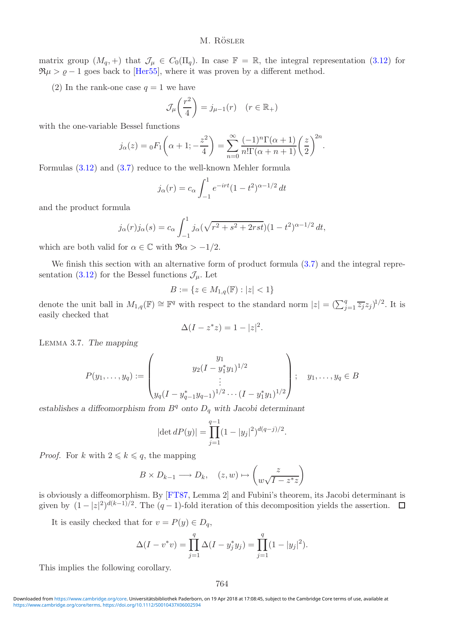matrix group  $(M_q, +)$  that  $\mathcal{J}_{\mu} \in C_0(\Pi_q)$ . In case  $\mathbb{F} = \mathbb{R}$ , the integral representation [\(3.12\)](#page-14-1) for  $\Re \mu > \varrho - 1$  goes back to [\[Her55\]](#page-29-2), where it was proven by a different method.

(2) In the rank-one case  $q = 1$  we have

$$
\mathcal{J}_{\mu}\left(\frac{r^2}{4}\right) = j_{\mu-1}(r) \quad (r \in \mathbb{R}_+)
$$

with the one-variable Bessel functions

$$
j_{\alpha}(z) = {}_0F_1\left(\alpha+1; -\frac{z^2}{4}\right) = \sum_{n=0}^{\infty} \frac{(-1)^n \Gamma(\alpha+1)}{n! \Gamma(\alpha+n+1)} \left(\frac{z}{2}\right)^{2n}.
$$

Formulas [\(3.12\)](#page-14-1) and [\(3.7\)](#page-13-3) reduce to the well-known Mehler formula

$$
j_{\alpha}(r) = c_{\alpha} \int_{-1}^{1} e^{-irt} (1 - t^2)^{\alpha - 1/2} dt
$$

and the product formula

$$
j_{\alpha}(r)j_{\alpha}(s) = c_{\alpha} \int_{-1}^{1} j_{\alpha}(\sqrt{r^2 + s^2 + 2rst})(1 - t^2)^{\alpha - 1/2} dt,
$$

which are both valid for  $\alpha \in \mathbb{C}$  with  $\Re \alpha > -1/2$ .

We finish this section with an alternative form of product formula  $(3.7)$  and the integral repre-sentation [\(3.12\)](#page-14-1) for the Bessel functions  $\mathcal{J}_{\mu}$ . Let

$$
B := \{ z \in M_{1,q}(\mathbb{F}) : |z| < 1 \}
$$

denote the unit ball in  $M_{1,q}(\mathbb{F}) \cong \mathbb{F}^q$  with respect to the standard norm  $|z| = (\sum_{j=1}^q \overline{z_j} z_j)^{1/2}$ . It is easily checked that

$$
\Delta(I - z^*z) = 1 - |z|^2.
$$

<span id="page-15-1"></span>Lemma 3.7. *The mapping*

$$
P(y_1, \ldots, y_q) := \begin{pmatrix} y_1 \\ y_2(I - y_1^* y_1)^{1/2} \\ \vdots \\ y_q(I - y_{q-1}^* y_{q-1})^{1/2} \cdots (I - y_1^* y_1)^{1/2} \end{pmatrix}; \quad y_1, \ldots, y_q \in B
$$

establishes a diffeomorphism from  $B<sup>q</sup>$  onto  $D<sub>q</sub>$  with Jacobi determinant

$$
|\det dP(y)| = \prod_{j=1}^{q-1} (1 - |y_j|^2)^{d(q-j)/2}.
$$

*Proof.* For k with  $2 \leq k \leq q$ , the mapping

$$
B \times D_{k-1} \longrightarrow D_k, \quad (z, w) \mapsto \begin{pmatrix} z \\ w\sqrt{I - z^*z} \end{pmatrix}
$$

is obviously a diffeomorphism. By [\[FT87,](#page-29-1) Lemma 2] and Fubini's theorem, its Jacobi determinant is given by  $(1-|z|^2)^{d(k-1)/2}$ . The  $(q-1)$ -fold iteration of this decomposition yields the assertion.

It is easily checked that for  $v = P(y) \in D_q$ ,

$$
\Delta(I - v^*v) = \prod_{j=1}^q \Delta(I - y_j^*y_j) = \prod_{j=1}^q (1 - |y_j|^2).
$$

<span id="page-15-0"></span>This implies the following corollary.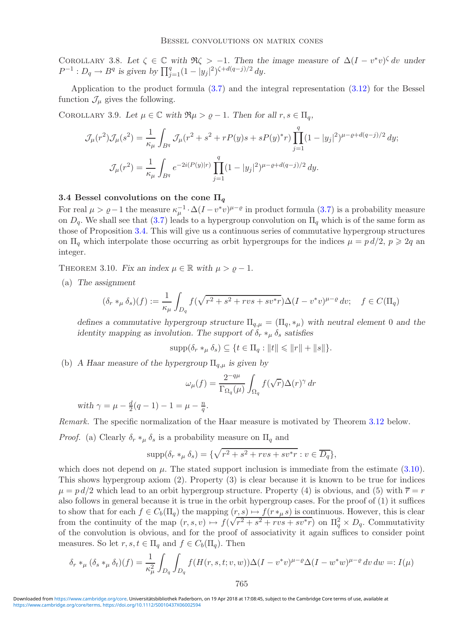COROLLARY 3.8. Let  $\zeta \in \mathbb{C}$  *with*  $\Re \zeta > -1$ *. Then the image measure of*  $\Delta (I - v^*v)^{\zeta} dv$  *under*  $P^{-1}: D_q \to B^q$  is given by  $\prod_{j=1}^q (1 - |y_j|^2)^{\zeta + d(q-j)/2} dy$ .

<span id="page-16-2"></span>Application to the product formula [\(3.7\)](#page-13-3) and the integral representation [\(3.12\)](#page-14-1) for the Bessel function  $\mathcal{J}_{\mu}$  gives the following.

COROLLARY 3.9. Let  $\mu \in \mathbb{C}$  with  $\Re \mu > \varrho - 1$ . Then for all  $r, s \in \Pi_q$ ,

$$
\mathcal{J}_{\mu}(r^2)\mathcal{J}_{\mu}(s^2) = \frac{1}{\kappa_{\mu}} \int_{B^q} \mathcal{J}_{\mu}(r^2 + s^2 + rP(y)s + sP(y)^*r) \prod_{j=1}^q (1 - |y_j|^2)^{\mu - \varrho + d(q-j)/2} dy;
$$

$$
\mathcal{J}_{\mu}(r^2) = \frac{1}{\kappa_{\mu}} \int_{B^q} e^{-2i(P(y)|r)} \prod_{j=1}^q (1 - |y_j|^2)^{\mu - \varrho + d(q-j)/2} dy.
$$

# <span id="page-16-0"></span>**3.4 Bessel convolutions on the cone**  $\Pi_q$

For real  $\mu > \varrho - 1$  the measure  $\kappa_{\mu}^{-1} \cdot \Delta (I - v^*v)^{\mu - \varrho}$  in product formula [\(3.7\)](#page-13-3) is a probability measure on  $D_q$ . We shall see that [\(3.7\)](#page-13-3) leads to a hypergroup convolution on  $\Pi_q$  which is of the same form as those of Proposition [3.4.](#page-13-2) This will give us a continuous series of commutative hypergroup structures on  $\Pi_q$  which interpolate those occurring as orbit hypergroups for the indices  $\mu = p d/2$ ,  $p \geq 2q$  and integer.

<span id="page-16-1"></span>THEOREM 3.10. *Fix an index*  $\mu \in \mathbb{R}$  *with*  $\mu > \rho - 1$ *.* 

(a) *The assignment*

$$
(\delta_r *_\mu \delta_s)(f) := \frac{1}{\kappa_\mu} \int_{D_q} f(\sqrt{r^2 + s^2 + rvs + sv^*r}) \Delta(I - v^*v)^{\mu - \varrho} dv; \quad f \in C(\Pi_q)
$$

*defines a commutative hypergroup structure*  $\Pi_{a,\mu} = (\Pi_a, *_{\mu})$  *with neutral element* 0 *and the identity mapping as involution. The support of*  $\delta_r *_{\mu} \delta_s$  *satisfies* 

 $\text{supp}(\delta_r *_\mu \delta_s) \subseteq \{t \in \Pi_q : ||t|| \leq ||r|| + ||s||\}.$ 

(b) *A Haar measure of the hypergroup* Πq,µ *is given by*

$$
\omega_{\mu}(f) = \frac{2^{-q\mu}}{\Gamma_{\Omega_q}(\mu)} \int_{\Omega_q} f(\sqrt{r}) \Delta(r)^{\gamma} dr
$$

*with*  $\gamma = \mu - \frac{d}{2}(q - 1) - 1 = \mu - \frac{n}{q}$ .

*Remark.* The specific normalization of the Haar measure is motivated by Theorem [3.12](#page-18-0) below.

*Proof.* (a) Clearly  $\delta_r *_{\mu} \delta_s$  is a probability measure on  $\Pi_q$  and

$$
\operatorname{supp}(\delta_r *_\mu \delta_s) = \{ \sqrt{r^2 + s^2 + rvs + sv^*r} : v \in \overline{D_q} \},
$$

which does not depend on  $\mu$ . The stated support inclusion is immediate from the estimate [\(3.10\)](#page-14-2). This shows hypergroup axiom (2). Property (3) is clear because it is known to be true for indices  $\mu = p d/2$  which lead to an orbit hypergroup structure. Property (4) is obvious, and (5) with  $\bar{r} = r$ also follows in general because it is true in the orbit hypergroup cases. For the proof of (1) it suffices to show that for each  $f \in C_b(\Pi_q)$  the mapping  $(r, s) \mapsto f(r \ast_\mu s)$  is continuous. However, this is clear from the continuity of the map  $(r, s, v) \mapsto f(r)$  $(\tau, s) \mapsto f(\tau *_{\mu} s)$  is continuous. However, this is clear<br> $\sqrt{r^2 + s^2 + rvs + sv^*r}$  on  $\Pi_q^2 \times D_q$ . Commutativity of the convolution is obvious, and for the proof of associativity it again suffices to consider point measures. So let  $r, s, t \in \Pi_q$  and  $f \in C_b(\Pi_q)$ . Then

$$
\delta_r *_\mu (\delta_s *_\mu \delta_t)(f) = \frac{1}{\kappa_{\mu}^2} \int_{D_q} \int_{D_q} f(H(r, s, t; v, w)) \Delta(I - v^* v)^{\mu - \varrho} \Delta(I - w^* w)^{\mu - \varrho} dv dw =: I(\mu)
$$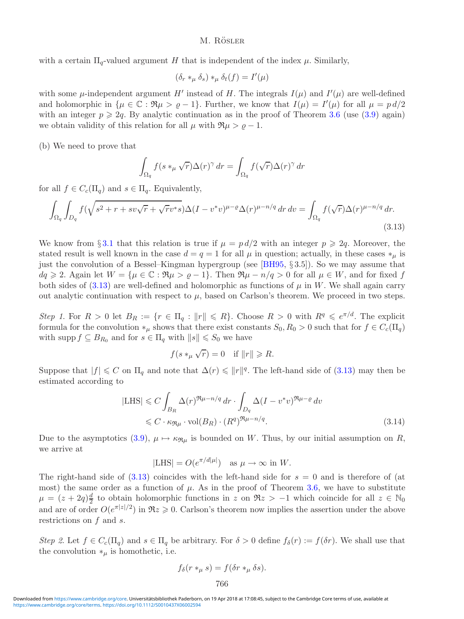with a certain  $\Pi_q$ -valued argument H that is independent of the index  $\mu$ . Similarly,

$$
(\delta_r *_\mu \delta_s) *_\mu \delta_t(f) = I'(\mu)
$$

with some  $\mu$ -independent argument H' instead of H. The integrals  $I(\mu)$  and  $I'(\mu)$  are well-defined and holomorphic in  $\{\mu \in \mathbb{C} : \Re \mu > \varrho - 1\}$ . Further, we know that  $I(\mu) = I'(\mu)$  for all  $\mu = \varrho d/2$ with an integer  $p \geqslant 2q$ . By analytic continuation as in the proof of Theorem [3.6](#page-13-5) (use [\(3.9\)](#page-14-0) again) we obtain validity of this relation for all  $\mu$  with  $\Re \mu > \rho - 1$ .

(b) We need to prove that

<span id="page-17-0"></span>
$$
\int_{\Omega_q} f(s *_{\mu} \sqrt{r}) \Delta(r)^{\gamma} dr = \int_{\Omega_q} f(\sqrt{r}) \Delta(r)^{\gamma} dr
$$

for all  $f \in C_c(\Pi_q)$  and  $s \in \Pi_q$ . Equivalently,

$$
\int_{\Omega_q} \int_{D_q} f(\sqrt{s^2 + r + s v \sqrt{r} + \sqrt{r} v^* s}) \Delta (I - v^* v)^{\mu - \varrho} \Delta (r)^{\mu - n/q} \, dr \, dv = \int_{\Omega_q} f(\sqrt{r}) \Delta (r)^{\mu - n/q} \, dr. \tag{3.13}
$$

We know from § [3.1](#page-9-1) that this relation is true if  $\mu = pd/2$  with an integer  $p \geqslant 2q$ . Moreover, the stated result is well known in the case  $d = q = 1$  for all  $\mu$  in question; actually, in these cases  $*_\mu$  is just the convolution of a Bessel–Kingman hypergroup (see [\[BH95,](#page-29-0) § 3.5]). So we may assume that  $dq \geq 2$ . Again let  $W = {\mu \in \mathbb{C} : \Re \mu > \varrho - 1}.$  Then  $\Re \mu - n/q > 0$  for all  $\mu \in W$ , and for fixed f both sides of [\(3.13\)](#page-17-0) are well-defined and holomorphic as functions of  $\mu$  in W. We shall again carry out analytic continuation with respect to  $\mu$ , based on Carlson's theorem. We proceed in two steps.

*Step 1*. For  $R > 0$  let  $B_R := \{r \in \Pi_q : ||r|| \leq R\}$ . Choose  $R > 0$  with  $R^q \leq e^{\pi/d}$ . The explicit formula for the convolution  $*_\mu$  shows that there exist constants  $S_0, R_0 > 0$  such that for  $f \in C_c(\Pi_q)$ with supp  $f \subseteq B_{R_0}$  and for  $s \in \Pi_q$  with  $||s|| \leq S_0$  we have

$$
f(s *_{\mu} \sqrt{r}) = 0 \quad \text{if } \|r\| \ge R.
$$

Suppose that  $|f| \leq C$  on  $\Pi_q$  and note that  $\Delta(r) \leq ||r||^q$ . The left-hand side of [\(3.13\)](#page-17-0) may then be estimated according to

$$
|\text{LHS}| \leq C \int_{B_R} \Delta(r)^{\Re \mu - n/q} dr \cdot \int_{D_q} \Delta(I - v^* v)^{\Re \mu - \varrho} dv
$$
  

$$
\leq C \cdot \kappa_{\Re \mu} \cdot \text{vol}(B_R) \cdot (R^q)^{\Re \mu - n/q}.
$$
 (3.14)

Due to the asymptotics [\(3.9\)](#page-14-0),  $\mu \mapsto \kappa_{\Re \mu}$  is bounded on W. Thus, by our initial assumption on R, we arrive at

$$
|\text{LHS}| = O(e^{\pi/d|\mu|}) \quad \text{as } \mu \to \infty \text{ in } W.
$$

The right-hand side of  $(3.13)$  coincides with the left-hand side for  $s = 0$  and is therefore of (at most) the same order as a function of  $\mu$ . As in the proof of Theorem [3.6,](#page-13-5) we have to substitute  $\mu = (z + 2q)\frac{d}{2}$  to obtain holomorphic functions in z on  $\Re z > -1$  which coincide for all  $z \in \mathbb{N}_0$ and are of order  $O(e^{\pi |z|/2})$  in  $\Re z \geq 0$ . Carlson's theorem now implies the assertion under the above restrictions on f and s.

*Step 2*. Let  $f \in C_c(\Pi_q)$  and  $s \in \Pi_q$  be arbitrary. For  $\delta > 0$  define  $f_{\delta}(r) := f(\delta r)$ . We shall use that the convolution  $*_\mu$  is homothetic, i.e.

$$
f_{\delta}(r *_{\mu} s) = f(\delta r *_{\mu} \delta s).
$$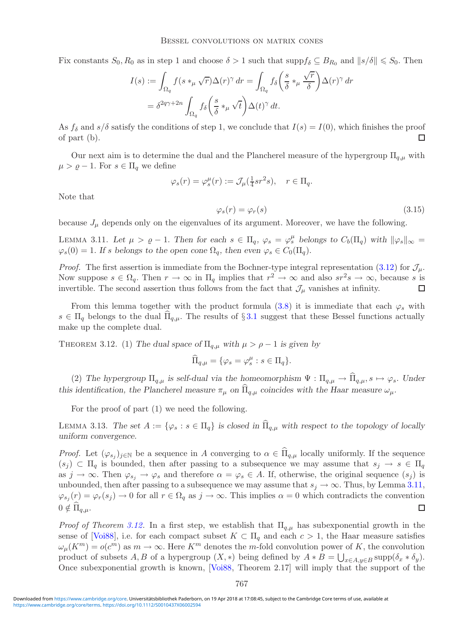Fix constants  $S_0, R_0$  as in step 1 and choose  $\delta > 1$  such that  $\supp f_\delta \subseteq B_{R_0}$  and  $||s/\delta|| \leq S_0$ . Then

$$
I(s) := \int_{\Omega_q} f(s *_{\mu} \sqrt{r}) \Delta(r)^{\gamma} dr = \int_{\Omega_q} f_{\delta} \left( \frac{s}{\delta} *_{\mu} \frac{\sqrt{r}}{\delta} \right) \Delta(r)^{\gamma} dr
$$
  
=  $\delta^{2q\gamma+2n} \int_{\Omega_q} f_{\delta} \left( \frac{s}{\delta} *_{\mu} \sqrt{t} \right) \Delta(t)^{\gamma} dt.$ 

As  $f_\delta$  and  $s/\delta$  satisfy the conditions of step 1, we conclude that  $I(s) = I(0)$ , which finishes the proof of part (b). П

Our next aim is to determine the dual and the Plancherel measure of the hypergroup  $\Pi_{q,\mu}$  with  $\mu > \varrho - 1$ . For  $s \in \Pi_q$  we define

$$
\varphi_s(r) = \varphi_s^{\mu}(r) := \mathcal{J}_{\mu}(\tfrac{1}{4}sr^2s), \quad r \in \Pi_q.
$$

<span id="page-18-3"></span>Note that

$$
\varphi_s(r) = \varphi_r(s) \tag{3.15}
$$

<span id="page-18-1"></span>because  $J_{\mu}$  depends only on the eigenvalues of its argument. Moreover, we have the following.

LEMMA 3.11. Let  $\mu > \varrho - 1$ . Then for each  $s \in \Pi_q$ ,  $\varphi_s = \varphi_s^{\mu}$  belongs to  $C_b(\Pi_q)$  with  $\|\varphi_s\|_{\infty} =$  $\varphi_s(0) = 1$ *. If s belongs to the open cone*  $\Omega_q$ *, then even*  $\varphi_s \in C_0(\Pi_q)$ *.* 

*Proof.* The first assertion is immediate from the Bochner-type integral representation [\(3.12\)](#page-14-1) for  $\mathcal{J}_{\mu}$ . Now suppose  $s \in \Omega_q$ . Then  $r \to \infty$  in  $\Pi_q$  implies that  $r^2 \to \infty$  and also  $sr^2s \to \infty$ , because s is invertible. The second assertion thus follows from the fact that  $\mathcal{J}_{\mu}$  vanishes at infinity.  $\Box$ 

From this lemma together with the product formula [\(3.8\)](#page-13-4) it is immediate that each  $\varphi_s$  with  $s \in \Pi_q$  belongs to the dual  $\Pi_{q,\mu}$ . The results of §[3.1](#page-9-1) suggest that these Bessel functions actually make up the complete dual.

<span id="page-18-0"></span>THEOREM 3.12. (1) *The dual space of*  $\Pi_{q,\mu}$  *with*  $\mu > \rho - 1$  *is given by* 

$$
\widehat{\Pi}_{q,\mu} = \{ \varphi_s = \varphi_s^{\mu} : s \in \Pi_q \}.
$$

(2) The hypergroup  $\Pi_{q,\mu}$  is self-dual via the homeomorphism  $\Psi : \Pi_{q,\mu} \to \widehat{\Pi}_{q,\mu}, s \mapsto \varphi_s$ . Under *this identification, the Plancherel measure*  $\pi_{\mu}$  *on*  $\hat{\Pi}_{q,\mu}$  *coincides with the Haar measure*  $\omega_{\mu}$ *.* 

For the proof of part (1) we need the following.

<span id="page-18-2"></span>LEMMA 3.13. The set  $A := \{\varphi_s : s \in \Pi_q\}$  is closed in  $\widehat{\Pi}_{q,\mu}$  with respect to the topology of locally *uniform convergence.*

*Proof.* Let  $(\varphi_{s_i})_{i\in\mathbb{N}}$  be a sequence in A converging to  $\alpha \in \widehat{\Pi}_{q,\mu}$  locally uniformly. If the sequence  $(s_j) \subset \Pi_q$  is bounded, then after passing to a subsequence we may assume that  $s_j \to s \in \Pi_q$ as  $j \to \infty$ . Then  $\varphi_{s_j} \to \varphi_s$  and therefore  $\alpha = \varphi_s \in A$ . If, otherwise, the original sequence  $(s_j)$  is unbounded, then after passing to a subsequence we may assume that  $s_j \to \infty$ . Thus, by Lemma [3.11,](#page-18-1)  $\varphi_{s_i}(r) = \varphi_r(s_i) \to 0$  for all  $r \in \Omega_q$  as  $j \to \infty$ . This implies  $\alpha = 0$  which contradicts the convention  $0 \notin \Pi_{q,\mu}.$  $\Box$ 

*Proof of Theorem [3.12.](#page-18-0)* In a first step, we establish that  $\Pi_{q,\mu}$  has subexponential growth in the sense of [\[Voi88\]](#page-30-14), i.e. for each compact subset  $K \subset \Pi_q$  and each  $c > 1$ , the Haar measure satisfies  $\omega_{\mu}(K^m) = o(c^m)$  as  $m \to \infty$ . Here  $K^m$  denotes the m-fold convolution power of K, the convolution product of subsets  $A, B$  of a hypergroup  $(X, *)$  being defined by  $A * B = \bigcup_{x \in A, y \in B} \text{supp}(\delta_x * \delta_y)$ . Once subexponential growth is known, [\[Voi88,](#page-30-14) Theorem 2.17] will imply that the support of the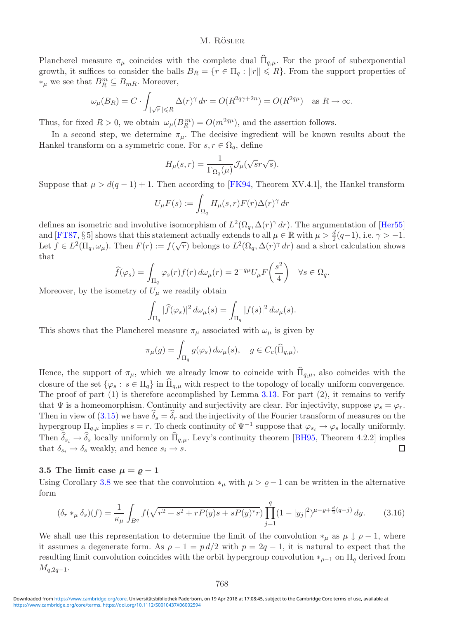Plancherel measure  $\pi_{\mu}$  coincides with the complete dual  $\widehat{\Pi}_{q,\mu}$ . For the proof of subexponential growth, it suffices to consider the balls  $B_R = \{r \in \Pi_q : ||r|| \leq R\}$ . From the support properties of  $*_{\mu}$  we see that  $B_R^m$  ⊆  $B_{mR}$ . Moreover,

$$
\omega_{\mu}(B_R) = C \cdot \int_{\|\sqrt{r}\| \le R} \Delta(r)^{\gamma} dr = O(R^{2q\gamma + 2n}) = O(R^{2q\mu}) \quad \text{as } R \to \infty.
$$

Thus, for fixed  $R > 0$ , we obtain  $\omega_{\mu}(B_R^m) = O(m^{2q\mu})$ , and the assertion follows.

In a second step, we determine  $\pi_{\mu}$ . The decisive ingredient will be known results about the Hankel transform on a symmetric cone. For  $s, r \in \Omega_q$ , define

$$
H_{\mu}(s,r)=\frac{1}{\Gamma_{\Omega_q}(\mu)}\mathcal{J}_{\mu}(\sqrt{s}r\sqrt{s}).
$$

Suppose that  $\mu > d(q - 1) + 1$ . Then according to [\[FK94,](#page-29-6) Theorem XV.4.1], the Hankel transform

$$
U_{\mu}F(s) := \int_{\Omega_q} H_{\mu}(s,r)F(r)\Delta(r)^{\gamma} dr
$$

defines an isometric and involutive isomorphism of  $L^2(\Omega_q, \Delta(r)^\gamma dr)$ . The argumentation of [\[Her55\]](#page-29-2) and [\[FT87,](#page-29-1) § 5] shows that this statement actually extends to all  $\mu \in \mathbb{R}$  with  $\mu > \frac{d}{2}(q-1)$ , i.e.  $\gamma > -1$ . Let  $f \in L^2(\Pi_q, \omega_\mu)$ . Then  $F(r) := f(\sqrt{r})$  belongs to  $L^2(\Omega_q, \Delta(r)^\gamma dr)$  and a short calculation shows that

$$
\widehat{f}(\varphi_s) = \int_{\Pi_q} \varphi_s(r) f(r) \, d\omega_\mu(r) = 2^{-q\mu} U_\mu F\left(\frac{s^2}{4}\right) \quad \forall s \in \Omega_q.
$$

Moreover, by the isometry of  $U_{\mu}$  we readily obtain

$$
\int_{\Pi_q} |\widehat{f}(\varphi_s)|^2 d\omega_{\mu}(s) = \int_{\Pi_q} |f(s)|^2 d\omega_{\mu}(s).
$$

This shows that the Plancherel measure  $\pi_{\mu}$  associated with  $\omega_{\mu}$  is given by

$$
\pi_{\mu}(g) = \int_{\Pi_q} g(\varphi_s) d\omega_{\mu}(s), \quad g \in C_c(\widehat{\Pi}_{q,\mu}).
$$

Hence, the support of  $\pi_{\mu}$ , which we already know to coincide with  $\widehat{\Pi}_{q,\mu}$ , also coincides with the closure of the set  $\{\varphi_s : s \in \Pi_q\}$  in  $\Pi_{q,\mu}$  with respect to the topology of locally uniform convergence. The proof of part  $(1)$  is therefore accomplished by Lemma [3.13.](#page-18-2) For part  $(2)$ , it remains to verify that  $\Psi$  is a homeomorphism. Continuity and surjectivity are clear. For injectivity, suppose  $\varphi_s = \varphi_r$ . Then in view of  $(3.15)$  we have  $\delta_s = \delta_r$  and the injectivity of the Fourier transform of measures on the hypergroup  $\Pi_{q,\mu}$  implies  $s = r$ . To check continuity of  $\Psi^{-1}$  suppose that  $\varphi_{s_i} \to \varphi_s$  locally uniformly. Then  $\delta_{s_i} \to \delta_s$  locally uniformly on  $\Pi_{q,\mu}$ . Levy's continuity theorem [\[BH95,](#page-29-0) Theorem 4.2.2] implies that  $\delta_{s_i} \rightarrow \delta_s$  weakly, and hence  $s_i \rightarrow s$ .

# <span id="page-19-0"></span>**3.5 The limit case**  $\mu = \rho - 1$

Using Corollary [3.8](#page-15-0) we see that the convolution  $*_\mu$  with  $\mu > \rho - 1$  can be written in the alternative form

$$
(\delta_r *_\mu \delta_s)(f) = \frac{1}{\kappa_\mu} \int_{B^q} f(\sqrt{r^2 + s^2 + rP(y)s + sP(y)^*r}) \prod_{j=1}^q (1 - |y_j|^2)^{\mu - \varrho + \frac{d}{2}(q - j)} dy.
$$
 (3.16)

We shall use this representation to determine the limit of the convolution  $*_\mu$  as  $\mu \downarrow \rho - 1$ , where it assumes a degenerate form. As  $\rho - 1 = p d/2$  with  $p = 2q - 1$ , it is natural to expect that the resulting limit convolution coincides with the orbit hypergroup convolution  $*_{{\rho}-1}$  on  $\Pi_q$  derived from  $M_{q,2q-1}$ .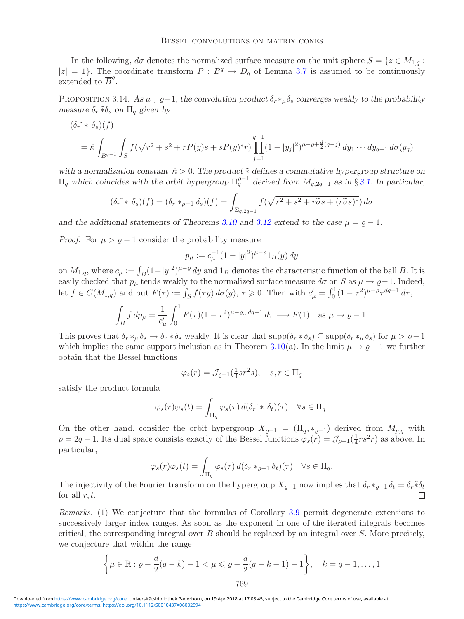In the following,  $d\sigma$  denotes the normalized surface measure on the unit sphere  $S = \{z \in M_{1,q} :$  $|z| = 1$ . The coordinate transform  $P : B^q \to D_q$  of Lemma [3.7](#page-15-1) is assumed to be continuously extended to  $\overline{B}^q$ .

PROPOSITION 3.14. As  $\mu \downarrow \rho - 1$ , the convolution product  $\delta_r *_\mu \delta_s$  converges weakly to the probability *measure*  $\delta_r * \delta_s$  *on*  $\Pi_q$  *given by* 

$$
(\delta_r^* * \delta_s)(f)
$$
  
=  $\tilde{\kappa} \int_{B^{q-1}} \int_S f(\sqrt{r^2 + s^2 + rP(y)s + sP(y)}*) \prod_{j=1}^{q-1} (1 - |y_j|^2)^{\mu - \varrho + \frac{d}{2}(q-j)} dy_1 \cdots dy_{q-1} d\sigma(y_q)$ 

with a normalization constant  $\tilde{\kappa} > 0$ . The product  $\tilde{*}$  defines a commutative hypergroup structure on  $\Pi_q$  which coincides with the orbit hypergroup  $\Pi_q^{\rho-1}$  derived from  $M_{q,2q-1}$  as in § [3.1.](#page-9-1) In particular,

$$
(\delta_r \tilde{\star} * \delta_s)(f) = (\delta_r *_{\rho-1} \delta_s)(f) = \int_{\Sigma_{q,2q-1}} f(\sqrt{r^2 + s^2 + r\tilde{\sigma}s + (r\tilde{\sigma}s)^*}) d\sigma
$$

*and the additional statements of Theorems* [3.10](#page-16-1) *and* [3.12](#page-18-0) *extend to the case*  $\mu = \rho - 1$ *.* 

*Proof.* For  $\mu > \varrho - 1$  consider the probability measure

$$
p_{\mu} := c_{\mu}^{-1} (1 - |y|^2)^{\mu - \varrho} 1_B(y) \, dy
$$

on  $M_{1,q}$ , where  $c_{\mu} := \int_B (1 - |y|^2)^{\mu-\varrho} dy$  and  $1_B$  denotes the characteristic function of the ball B. It is easily checked that  $p_{\mu}$  tends weakly to the normalized surface measure  $d\sigma$  on S as  $\mu \to \varrho-1$ . Indeed, let  $f \in C(M_{1,q})$  and put  $F(\tau) := \int_S f(\tau y) d\sigma(y)$ ,  $\tau \geq 0$ . Then with  $c'_{\mu} = \int_0^1 (1 - \tau^2)^{\mu - \varrho} \tau^{dq-1} d\tau$ ,

$$
\int_B f \, dp_\mu = \frac{1}{c'_\mu} \int_0^1 F(\tau) (1 - \tau^2)^{\mu - \varrho} \tau^{dq - 1} \, d\tau \longrightarrow F(1) \quad \text{as } \mu \to \varrho - 1.
$$

This proves that  $\delta_r *_{\mu} \delta_s \to \delta_r * \delta_s$  weakly. It is clear that  $\text{supp}(\delta_r * \delta_s) \subseteq \text{supp}(\delta_r *_{\mu} \delta_s)$  for  $\mu > \varrho-1$ which implies the same support inclusion as in Theorem [3.10\(](#page-16-1)a). In the limit  $\mu \to \rho - 1$  we further obtain that the Bessel functions

$$
\varphi_s(r) = \mathcal{J}_{\varrho-1}(\tfrac{1}{4}sr^2s), \quad s, r \in \Pi_q
$$

satisfy the product formula

$$
\varphi_s(r)\varphi_s(t) = \int_{\Pi_q} \varphi_s(\tau) d(\delta_r \tilde{\star} \delta_t)(\tau) \quad \forall s \in \Pi_q.
$$

On the other hand, consider the orbit hypergroup  $X_{\varrho-1} = (\Pi_q, *_{\varrho-1})$  derived from  $M_{p,q}$  with  $p = 2q - 1$ . Its dual space consists exactly of the Bessel functions  $\varphi_s(r) = \mathcal{J}_{\rho-1}(\frac{1}{4}rs^2r)$  as above. In particular,

$$
\varphi_s(r)\varphi_s(t) = \int_{\Pi_q} \varphi_s(\tau) d(\delta_r *_{{\varrho}-1} \delta_t)(\tau) \quad \forall s \in \Pi_q.
$$

The injectivity of the Fourier transform on the hypergroup  $X_{\varrho-1}$  now implies that  $\delta_r *_{\varrho-1} \delta_t = \delta_r * \delta_t$ for all  $r, t$ .

*Remarks.* (1) We conjecture that the formulas of Corollary [3.9](#page-16-2) permit degenerate extensions to successively larger index ranges. As soon as the exponent in one of the iterated integrals becomes critical, the corresponding integral over  $B$  should be replaced by an integral over  $S$ . More precisely, we conjecture that within the range

$$
\left\{\mu \in \mathbb{R} : \varrho - \frac{d}{2}(q - k) - 1 < \mu \leqslant \varrho - \frac{d}{2}(q - k - 1) - 1\right\}, \quad k = q - 1, \dots, 1
$$
\n769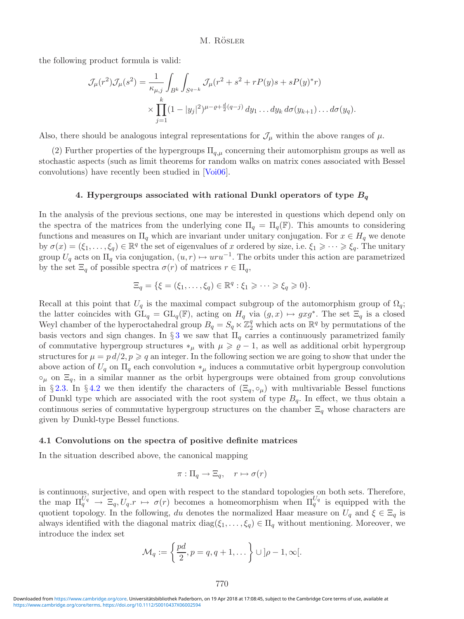the following product formula is valid:

$$
\mathcal{J}_{\mu}(r^2)\mathcal{J}_{\mu}(s^2) = \frac{1}{\kappa_{\mu,j}} \int_{B^k} \int_{S^{q-k}} \mathcal{J}_{\mu}(r^2 + s^2 + rP(y)s + sP(y)^*r)
$$
  
 
$$
\times \prod_{j=1}^k (1 - |y_j|^2)^{\mu - \varrho + \frac{d}{2}(q-j)} dy_1 \dots dy_k d\sigma(y_{k+1}) \dots d\sigma(y_q).
$$

Also, there should be analogous integral representations for  $\mathcal{J}_{\mu}$  within the above ranges of  $\mu$ .

<span id="page-21-0"></span>(2) Further properties of the hypergroups  $\Pi_{q,\mu}$  concerning their automorphism groups as well as stochastic aspects (such as limit theorems for random walks on matrix cones associated with Bessel convolutions) have recently been studied in [\[Voi06\]](#page-30-15).

#### **4. Hypergroups associated with rational Dunkl operators of type** *B*<sup>q</sup>

In the analysis of the previous sections, one may be interested in questions which depend only on the spectra of the matrices from the underlying cone  $\Pi_q = \Pi_q(\mathbb{F})$ . This amounts to considering functions and measures on  $\Pi_q$  which are invariant under unitary conjugation. For  $x \in H_q$  we denote by  $\sigma(x)=(\xi_1,\ldots,\xi_q)\in\mathbb{R}^q$  the set of eigenvalues of x ordered by size, i.e.  $\xi_1\geqslant\cdots\geqslant\xi_q$ . The unitary group  $U_q$  acts on  $\Pi_q$  via conjugation,  $(u, r) \mapsto uru^{-1}$ . The orbits under this action are parametrized by the set  $\Xi_q$  of possible spectra  $\sigma(r)$  of matrices  $r \in \Pi_q$ ,

$$
\Xi_q = \{ \xi = (\xi_1, \dots, \xi_q) \in \mathbb{R}^q : \xi_1 \geqslant \dots \geqslant \xi_q \geqslant 0 \}.
$$

Recall at this point that  $U_q$  is the maximal compact subgroup of the automorphism group of  $\Omega_q$ ; the latter coincides with  $GL_q = GL_q(\mathbb{F})$ , acting on  $H_q$  via  $(g, x) \mapsto gxg^*$ . The set  $\Xi_q$  is a closed Weyl chamber of the hyperoctahedral group  $B_q = S_q \ltimes \mathbb{Z}_2^q$  which acts on  $\mathbb{R}^q$  by permutations of the basis vectors and sign changes. In  $\S 3$  $\S 3$  we saw that  $\Pi_q$  carries a continuously parametrized family of commutative hypergroup structures  $*_\mu$  with  $\mu \geqslant \varrho - 1$ , as well as additional orbit hypergroup structures for  $\mu = p d/2$ ,  $p \geqslant q$  an integer. In the following section we are going to show that under the above action of  $U_q$  on  $\Pi_q$  each convolution  $*_\mu$  induces a commutative orbit hypergroup convolution  $\circ_{\mu}$  on  $\Xi_{q}$ , in a similar manner as the orbit hypergroups were obtained from group convolutions in §[2.3.](#page-7-0) In §[4.2](#page-25-0) we then identify the characters of  $(\Xi_q, \circ_\mu)$  with multivariable Bessel functions of Dunkl type which are associated with the root system of type  $B_q$ . In effect, we thus obtain a continuous series of commutative hypergroup structures on the chamber  $\Xi_q$  whose characters are given by Dunkl-type Bessel functions.

#### <span id="page-21-1"></span>**4.1 Convolutions on the spectra of positive definite matrices**

In the situation described above, the canonical mapping

$$
\pi: \Pi_q \to \Xi_q, \quad r \mapsto \sigma(r)
$$

<span id="page-21-2"></span>is continuous, surjective, and open with respect to the standard topologies on both sets. Therefore, the map  $\Pi_q^{U_q} \to \Xi_q, U_q.r \mapsto \sigma(r)$  becomes a homeomorphism when  $\Pi_q^{U_q}$  is equipped with the quotient topology. In the following, du denotes the normalized Haar measure on  $U_q$  and  $\xi \in \Xi_q$  is always identified with the diagonal matrix  $diag(\xi_1,\ldots,\xi_q) \in \Pi_q$  without mentioning. Moreover, we introduce the index set

$$
\mathcal{M}_q := \left\{ \frac{pd}{2}, p = q, q + 1, \dots \right\} \cup \left] \rho - 1, \infty \right[.
$$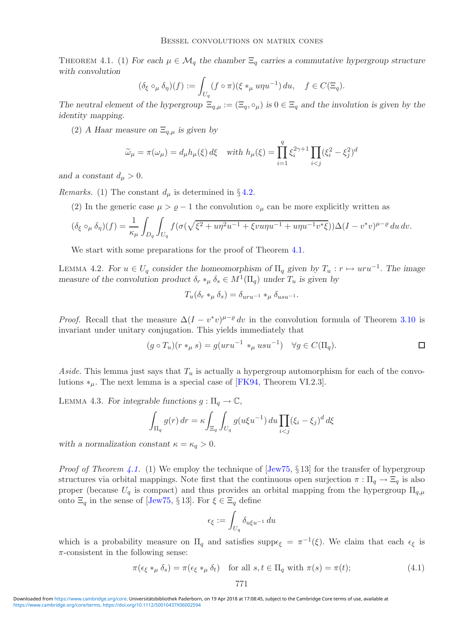THEOREM 4.1. (1) For each  $\mu \in \mathcal{M}_q$  the chamber  $\Xi_q$  carries a commutative hypergroup structure *with convolution*

$$
(\delta_{\xi} \circ_{\mu} \delta_{\eta})(f) := \int_{U_q} (f \circ \pi)(\xi *_{\mu} u \eta u^{-1}) du, \quad f \in C(\Xi_q).
$$

*The neutral element of the hypergroup*  $\Xi_{q,\mu} := (\Xi_q, \circ_{\mu})$  *is*  $0 \in \Xi_q$  *and the involution is given by the identity mapping.*

(2) *A Haar measure on*  $\Xi_{q,\mu}$  *is given by* 

$$
\widetilde{\omega}_{\mu} = \pi(\omega_{\mu}) = d_{\mu}h_{\mu}(\xi) d\xi \quad \text{with } h_{\mu}(\xi) = \prod_{i=1}^{q} \xi_{i}^{2\gamma + 1} \prod_{i < j} (\xi_{i}^{2} - \xi_{j}^{2})^{d}
$$

and a constant  $d_{\mu} > 0$ .

*Remarks.* (1) The constant  $d_{\mu}$  is determined in §[4.2.](#page-25-0)

(2) In the generic case  $\mu > \varrho - 1$  the convolution  $\circ_{\mu}$  can be more explicitly written as

$$
(\delta_{\xi} \circ_{\mu} \delta_{\eta})(f) = \frac{1}{\kappa_{\mu}} \int_{D_q} \int_{U_q} f(\sigma(\sqrt{\xi^2 + u\eta^2 u^{-1} + \xi v u\eta u^{-1} + u\eta u^{-1} v^* \xi})) \Delta (I - v^* v)^{\mu - \varrho} du dv.
$$

We start with some preparations for the proof of Theorem [4.1.](#page-21-2)

<span id="page-22-1"></span>LEMMA 4.2. For  $u \in U_q$  consider the homeomorphism of  $\Pi_q$  given by  $T_u : r \mapsto uru^{-1}$ . The image *measure of the convolution product*  $\delta_r *_{\mu} \delta_s \in M^1(\Pi_q)$  *under*  $T_u$  *is given by* 

$$
T_u(\delta_r *_\mu \delta_s) = \delta_{uru^{-1}} *_\mu \delta_{usu^{-1}}.
$$

*Proof.* Recall that the measure  $\Delta (I - v^*v)^{\mu-\varrho} dv$  in the convolution formula of Theorem [3.10](#page-16-1) is invariant under unitary conjugation. This yields immediately that

$$
(g \circ T_u)(r *_\mu s) = g(uru^{-1} *_\mu usu^{-1}) \quad \forall g \in C(\Pi_q).
$$

*Aside*. This lemma just says that  $T_u$  is actually a hypergroup automorphism for each of the convolutions  $*_u$ . The next lemma is a special case of [\[FK94,](#page-29-6) Theorem VI.2.3].

LEMMA 4.3. *For integrable functions*  $g: \Pi_q \to \mathbb{C}$ ,

$$
\int_{\Pi_q} g(r) dr = \kappa \int_{\Xi_q} \int_{U_q} g(u\xi u^{-1}) du \prod_{i < j} (\xi_i - \xi_j)^d d\xi
$$

*with a normalization constant*  $\kappa = \kappa_q > 0$ .

*Proof of Theorem [4.1.](#page-21-2)* (1) We employ the technique of [\[Jew75,](#page-30-2) § 13] for the transfer of hypergroup structures via orbital mappings. Note first that the continuous open surjection  $\pi : \Pi_q \to \Xi_q$  is also proper (because  $U_q$  is compact) and thus provides an orbital mapping from the hypergroup  $\Pi_{q,\mu}$ onto  $\Xi_q$  in the sense of [\[Jew75,](#page-30-2) § 13]. For  $\xi \in \Xi_q$  define

$$
\epsilon_{\xi} := \int_{U_q} \delta_{u\xi u^{-1}} \, du
$$

which is a probability measure on  $\Pi_q$  and satisfies supp $\epsilon_{\xi} = \pi^{-1}(\xi)$ . We claim that each  $\epsilon_{\xi}$  is  $\pi$ -consistent in the following sense:

<span id="page-22-0"></span>
$$
\pi(\epsilon_{\xi} *_{\mu} \delta_{s}) = \pi(\epsilon_{\xi} *_{\mu} \delta_{t}) \quad \text{for all } s, t \in \Pi_{q} \text{ with } \pi(s) = \pi(t); \tag{4.1}
$$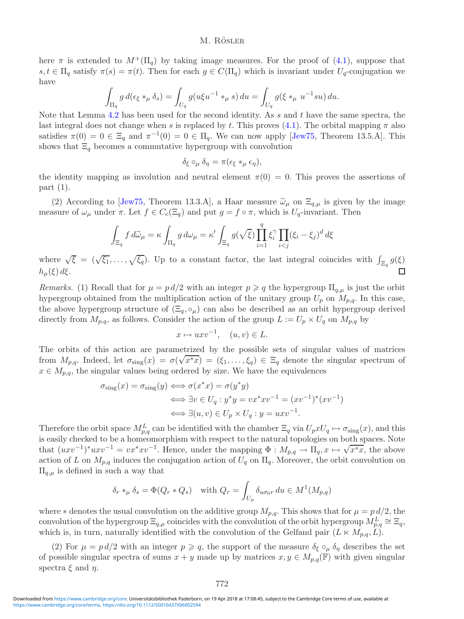here  $\pi$  is extended to  $M^+(\Pi_q)$  by taking image measures. For the proof of [\(4.1\)](#page-22-0), suppose that s,  $t \in \Pi_q$  satisfy  $\pi(s) = \pi(t)$ . Then for each  $g \in C(\Pi_q)$  which is invariant under  $U_q$ -conjugation we have

$$
\int_{\Pi_q} g \, d(\epsilon_{\xi} *_{\mu} \delta_s) = \int_{U_q} g(u\xi u^{-1} *_{\mu} s) \, du = \int_{U_q} g(\xi *_{\mu} u^{-1} s u) \, du.
$$

Note that Lemma [4.2](#page-22-1) has been used for the second identity. As s and t have the same spectra, the last integral does not change when s is replaced by t. This proves [\(4.1\)](#page-22-0). The orbital mapping  $\pi$  also satisfies  $\pi(0) = 0 \in \Xi_q$  and  $\pi^{-1}(0) = 0 \in \Pi_q$ . We can now apply [\[Jew75,](#page-30-2) Theorem 13.5.A]. This shows that  $\Xi_q$  becomes a commutative hypergroup with convolution

$$
\delta_{\xi} \circ_{\mu} \delta_{\eta} = \pi(\epsilon_{\xi} *_{\mu} \epsilon_{\eta}),
$$

the identity mapping as involution and neutral element  $\pi(0) = 0$ . This proves the assertions of part (1).

(2) According to [\[Jew75,](#page-30-2) Theorem 13.3.A], a Haar measure  $\tilde{\omega}_{\mu}$  on  $\Xi_{q,\mu}$  is given by the image measure of  $\omega_{\mu}$  under  $\pi$ . Let  $f \in C_c(\Xi_q)$  and put  $g = f \circ \pi$ , which is  $U_q$ -invariant. Then

$$
\int_{\Xi_q} f d\widetilde{\omega}_{\mu} = \kappa \int_{\Pi_q} g d\omega_{\mu} = \kappa' \int_{\Xi_q} g(\sqrt{\xi}) \prod_{i=1}^q \xi_i^{\gamma} \prod_{i < j} (\xi_i - \xi_j)^d d\xi
$$

where  $\sqrt{\xi} = (\sqrt{\xi_1}, \ldots, \sqrt{\xi_q})$ . Up to a constant factor, the last integral coincides with  $\int_{\Xi_q} g(\xi)$  $h_{\mu}(\xi) d\xi$ . П

*Remarks.* (1) Recall that for  $\mu = p d/2$  with an integer  $p \geq q$  the hypergroup  $\Pi_{q,\mu}$  is just the orbit hypergroup obtained from the multiplication action of the unitary group  $U_p$  on  $M_{p,q}$ . In this case, the above hypergroup structure of  $(\Xi_q, \circ_\mu)$  can also be described as an orbit hypergroup derived directly from  $M_{p,q}$ , as follows. Consider the action of the group  $L := U_p \times U_q$  on  $M_{p,q}$  by

$$
x \mapsto uxv^{-1}, \quad (u, v) \in L.
$$

The orbits of this action are parametrized by the possible sets of singular values of matrices The orbits of this action are parametrized by the possible sets of singular values of matrices<br>from  $M_{p,q}$ . Indeed, let  $\sigma_{sing}(x) = \sigma(\sqrt{x^*x}) = (\xi_1, \dots, \xi_q) \in \Xi_q$  denote the singular spectrum of  $x \in M_{p,q}$ , the singular values being ordered by size. We have the equivalences

$$
\sigma_{\text{sing}}(x) = \sigma_{\text{sing}}(y) \iff \sigma(x^*x) = \sigma(y^*y)
$$

$$
\iff \exists v \in U_q : y^*y = vx^*xv^{-1} = (xv^{-1})^*(xv^{-1})
$$

$$
\iff \exists (u, v) \in U_p \times U_q : y = uxv^{-1}.
$$

Therefore the orbit space  $M_{p,q}^L$  can be identified with the chamber  $\Xi_q$  via  $U_pxU_q \mapsto \sigma_{\text{sing}}(x)$ , and this is easily checked to be a homeomorphism with respect to the natural topologies on both spaces. Note that  $(uxv^{-1})^*uxv^{-1} = vx^*xv^{-1}$ . Hence, under the mapping  $\Phi : M_{p,q} \to \Pi_q, x \mapsto \sqrt{x^*x}$ , the above action of L on  $M_{p,q}$  induces the conjugation action of  $U_q$  on  $\Pi_q$ . Moreover, the orbit convolution on  $\Pi_{q,\mu}$  is defined in such a way that

$$
\delta_r *_\mu \delta_s = \Phi(Q_r * Q_s) \quad \text{with } Q_r = \int_{U_p} \delta_{u\sigma_0 r} du \in M^1(M_{p,q})
$$

where  $*$  denotes the usual convolution on the additive group  $M_{p,q}$ . This shows that for  $\mu = p d/2$ , the convolution of the hypergroup  $\Xi_{q,\mu}$  coincides with the convolution of the orbit hypergroup  $M_{p,q}^L \cong \Xi_q$ , which is, in turn, naturally identified with the convolution of the Gelfand pair  $(L \ltimes M_{p,q}, L)$ .

(2) For  $\mu = p d/2$  with an integer  $p \geqslant q$ , the support of the measure  $\delta_{\xi} \circ_{\mu} \delta_{\eta}$  describes the set of possible singular spectra of sums  $x + y$  made up by matrices  $x, y \in M_{p,q}(\mathbb{F})$  with given singular spectra  $\xi$  and  $\eta$ .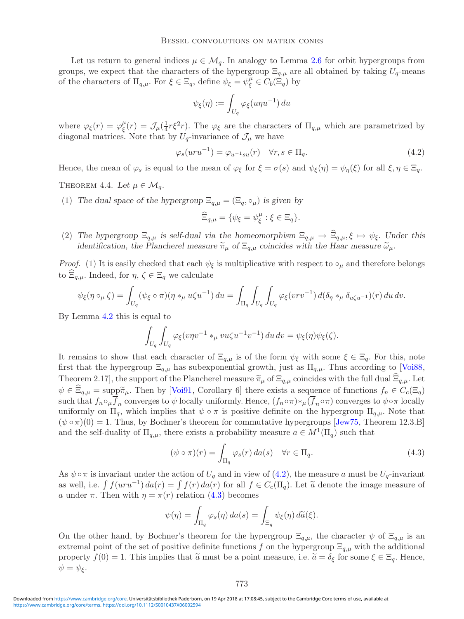Let us return to general indices  $\mu \in \mathcal{M}_q$ . In analogy to Lemma [2.6](#page-9-2) for orbit hypergroups from groups, we expect that the characters of the hypergroup  $\Xi_{q,\mu}$  are all obtained by taking  $U_q$ -means of the characters of  $\Pi_{q,\mu}$ . For  $\xi \in \Xi_q$ , define  $\psi_{\xi} = \psi_{\xi}^{\mu} \in C_b(\Xi_q)$  by

<span id="page-24-0"></span>
$$
\psi_{\xi}(\eta) := \int_{U_q} \varphi_{\xi}(u\eta u^{-1}) \, du
$$

where  $\varphi_{\xi}(r) = \varphi_{\xi}^{\mu}(r) = \mathcal{J}_{\mu}(\frac{1}{4}r\xi^{2}r)$ . The  $\varphi_{\xi}$  are the characters of  $\Pi_{q,\mu}$  which are parametrized by diagonal matrices. Note that by  $U_q$ -invariance of  $\mathcal{J}_\mu$  we have

$$
\varphi_s(uru^{-1}) = \varphi_{u^{-1}su}(r) \quad \forall r, s \in \Pi_q.
$$
\n
$$
(4.2)
$$

<span id="page-24-2"></span>Hence, the mean of  $\varphi_s$  is equal to the mean of  $\varphi_\xi$  for  $\xi = \sigma(s)$  and  $\psi_\xi(\eta) = \psi_\eta(\xi)$  for all  $\xi, \eta \in \Xi_q$ .

THEOREM 4.4. Let  $\mu \in \mathcal{M}_q$ .

(1) *The dual space of the hypergroup*  $\Xi_{q,\mu} = (\Xi_q, \circ_{\mu})$  *is given by* 

$$
\widehat{\Xi}_{q,\mu} = \{ \psi_{\xi} = \psi_{\xi}^{\mu} : \xi \in \Xi_q \}.
$$

(2) The hypergroup  $\Xi_{q,\mu}$  is self-dual via the homeomorphism  $\Xi_{q,\mu} \to \widehat{\Xi}_{q,\mu}, \xi \mapsto \psi_{\xi}$ . Under this *identification, the Plancherel measure*  $\tilde{\pi}_{\mu}$  of  $\Xi_{q,\mu}$  coincides with the Haar measure  $\tilde{\omega}_{\mu}$ .

*Proof.* (1) It is easily checked that each  $\psi_{\xi}$  is multiplicative with respect to  $\circ_{\mu}$  and therefore belongs to  $\Xi_{q,\mu}$ . Indeed, for  $\eta, \zeta \in \Xi_q$  we calculate

$$
\psi_{\xi}(\eta \circ_{\mu} \zeta) = \int_{U_q} (\psi_{\xi} \circ \pi)(\eta *_{\mu} u\zeta u^{-1}) du = \int_{\Pi_q} \int_{U_q} \int_{U_q} \varphi_{\xi}(vrv^{-1}) d(\delta_{\eta} *_{\mu} \delta_{u\zeta u^{-1}})(r) du dv.
$$

By Lemma [4.2](#page-22-1) this is equal to

$$
\int_{U_q} \int_{U_q} \varphi_{\xi}(v \eta v^{-1} *_{\mu} vu \zeta u^{-1} v^{-1}) du dv = \psi_{\xi}(\eta) \psi_{\xi}(\zeta).
$$

It remains to show that each character of  $\Xi_{q,\mu}$  is of the form  $\psi_{\xi}$  with some  $\xi \in \Xi_q$ . For this, note first that the hypergroup  $\Xi_{q,\mu}$  has subexponential growth, just as  $\Pi_{q,\mu}$ . Thus according to [\[Voi88,](#page-30-14) Theorem 2.17, the support of the Plancherel measure  $\tilde{\pi}_{\mu}$  of  $\Xi_{q,\mu}$  coincides with the full dual  $\Xi_{q,\mu}$ . Let  $\psi \in \Xi_{q,\mu} = \text{supp} \tilde{\pi}_{\mu}$ . Then by [\[Voi91,](#page-30-16) Corollary 6] there exists a sequence of functions  $f_n \in C_c(\Xi_q)$ such that  $f_n \circ_\mu \overline{f}_n$  converges to  $\psi$  locally uniformly. Hence,  $(f_n \circ \pi) *_{\mu} (\overline{f}_n \circ \pi)$  converges to  $\psi \circ \pi$  locally uniformly on  $\Pi_q$ , which implies that  $\psi \circ \pi$  is positive definite on the hypergroup  $\Pi_{q,\mu}$ . Note that  $(\psi \circ \pi)(0) = 1$ . Thus, by Bochner's theorem for commutative hypergroups [\[Jew75,](#page-30-2) Theorem 12.3.B] and the self-duality of  $\Pi_{q,\mu}$ , there exists a probability measure  $a \in M^1(\Pi_q)$  such that

<span id="page-24-1"></span>
$$
(\psi \circ \pi)(r) = \int_{\Pi_q} \varphi_s(r) \, da(s) \quad \forall r \in \Pi_q. \tag{4.3}
$$

As  $\psi \circ \pi$  is invariant under the action of  $U_q$  and in view of [\(4.2\)](#page-24-0), the measure a must be  $U_q$ -invariant as well, i.e.  $\int f(uru^{-1}) da(r) = \int f(r) da(r)$  for all  $f \in C_c(\Pi_q)$ . Let  $\tilde{a}$  denote the image measure of a under  $\pi$ . Then with  $\eta = \pi(r)$  relation [\(4.3\)](#page-24-1) becomes

$$
\psi(\eta) = \int_{\Pi_q} \varphi_s(\eta) \, da(s) = \int_{\Xi_q} \psi_{\xi}(\eta) \, d\widetilde{a}(\xi).
$$

On the other hand, by Bochner's theorem for the hypergroup  $\Xi_{q,\mu}$ , the character  $\psi$  of  $\Xi_{q,\mu}$  is an extremal point of the set of positive definite functions f on the hypergroup  $\Xi_{q,\mu}$  with the additional property  $f(0) = 1$ . This implies that  $\tilde{a}$  must be a point measure, i.e.  $\tilde{a} = \delta_{\xi}$  for some  $\xi \in \Xi_q$ . Hence,  $\psi = \psi_{\xi}.$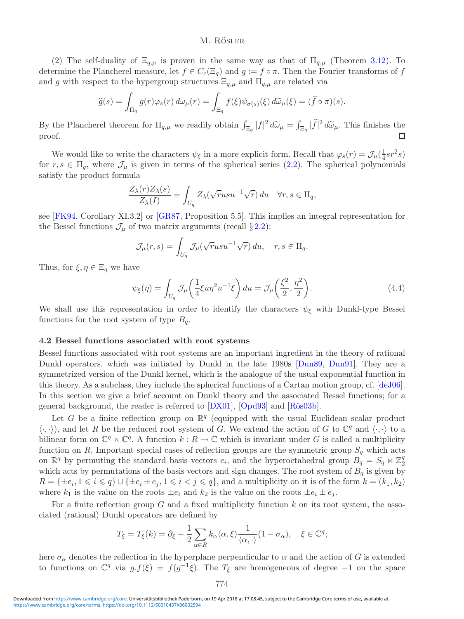(2) The self-duality of  $\Xi_{q,\mu}$  is proven in the same way as that of  $\Pi_{q,\mu}$  (Theorem [3.12\)](#page-18-0). To determine the Plancherel measure, let  $f \in C_c(\Xi_q)$  and  $g := f \circ \pi$ . Then the Fourier transforms of f and g with respect to the hypergroup structures  $\Xi_{q,\mu}$  and  $\Pi_{q,\mu}$  are related via

$$
\widehat{g}(s) = \int_{\Pi_q} g(r) \varphi_s(r) d\omega_\mu(r) = \int_{\Xi_q} f(\xi) \psi_{\sigma(s)}(\xi) d\widetilde{\omega}_\mu(\xi) = (\widehat{f} \circ \pi)(s).
$$

By the Plancherel theorem for  $\Pi_{q,\mu}$  we readily obtain  $\int_{\Xi_q} |f|^2 d\tilde{\omega}_{\mu} = \int_{\Xi_q} |\tilde{f}|^2 d\tilde{\omega}_{\mu}$ . This finishes the proof.

We would like to write the characters  $\psi_{\xi}$  in a more explicit form. Recall that  $\varphi_s(r) = \mathcal{J}_{\mu}(\frac{1}{4}sr^2s)$ for  $r, s \in \Pi_q$ , where  $\mathcal{J}_\mu$  is given in terms of the spherical series [\(2.2\)](#page-6-1). The spherical polynomials satisfy the product formula

$$
\frac{Z_{\lambda}(r)Z_{\lambda}(s)}{Z_{\lambda}(I)} = \int_{U_q} Z_{\lambda}(\sqrt{r}usu^{-1}\sqrt{r}) du \quad \forall r, s \in \Pi_q,
$$

see [\[FK94,](#page-29-6) Corollary XI.3.2] or [\[GR87,](#page-29-4) Proposition 5.5]. This implies an integral representation for the Bessel functions  $\mathcal{J}_{\mu}$  of two matrix arguments (recall § [2.2\)](#page-6-0):

$$
\mathcal{J}_{\mu}(r,s) = \int_{U_q} \mathcal{J}_{\mu}(\sqrt{r}usu^{-1}\sqrt{r}) du, \quad r, s \in \Pi_q.
$$

Thus, for  $\xi, \eta \in \Xi_q$  we have

$$
\psi_{\xi}(\eta) = \int_{U_q} \mathcal{J}_{\mu}\left(\frac{1}{4}\xi u \eta^2 u^{-1} \xi\right) du = \mathcal{J}_{\mu}\left(\frac{\xi^2}{2}, \frac{\eta^2}{2}\right). \tag{4.4}
$$

We shall use this representation in order to identify the characters  $\psi_{\xi}$  with Dunkl-type Bessel functions for the root system of type  $B_q$ .

#### <span id="page-25-0"></span>**4.2 Bessel functions associated with root systems**

Bessel functions associated with root systems are an important ingredient in the theory of rational Dunkl operators, which was initiated by Dunkl in the late 1980s [\[Dun89,](#page-29-8) [Dun91\]](#page-29-9). They are a symmetrized version of the Dunkl kernel, which is the analogue of the usual exponential function in this theory. As a subclass, they include the spherical functions of a Cartan motion group, cf. [\[deJ06\]](#page-29-13). In this section we give a brief account on Dunkl theory and the associated Bessel functions; for a general background, the reader is referred to  $[DX01]$ ,  $[Opd93]$  and  $[R\ddot{o}s03b]$ .

Let G be a finite reflection group on  $\mathbb{R}^q$  (equipped with the usual Euclidean scalar product  $\langle \cdot, \cdot \rangle$ , and let R be the reduced root system of G. We extend the action of G to  $\mathbb{C}^q$  and  $\langle \cdot, \cdot \rangle$  to a bilinear form on  $\mathbb{C}^q \times \mathbb{C}^q$ . A function  $k : R \to \mathbb{C}$  which is invariant under G is called a multiplicity function on R. Important special cases of reflection groups are the symmetric group  $S_q$  which acts on  $\mathbb{R}^q$  by permuting the standard basis vectors  $e_i$ , and the hyperoctahedral group  $B_q = S_q \ltimes \mathbb{Z}_2^q$ which acts by permutations of the basis vectors and sign changes. The root system of  $B<sub>q</sub>$  is given by  $R = \{\pm e_i, 1 \leq i \leq q\} \cup \{\pm e_i \pm e_j, 1 \leq i < j \leq q\}$ , and a multiplicity on it is of the form  $k = (k_1, k_2)$ where  $k_1$  is the value on the roots  $\pm e_i$  and  $k_2$  is the value on the roots  $\pm e_i \pm e_j$ .

For a finite reflection group  $G$  and a fixed multiplicity function  $k$  on its root system, the associated (rational) Dunkl operators are defined by

$$
T_{\xi} = T_{\xi}(k) = \partial_{\xi} + \frac{1}{2} \sum_{\alpha \in R} k_{\alpha} \langle \alpha, \xi \rangle \frac{1}{\langle \alpha, \cdot \rangle} (1 - \sigma_{\alpha}), \quad \xi \in \mathbb{C}^{q};
$$

here  $\sigma_{\alpha}$  denotes the reflection in the hyperplane perpendicular to  $\alpha$  and the action of G is extended to functions on  $\mathbb{C}^q$  via  $g.f(\xi) = f(g^{-1}\xi)$ . The  $T_{\xi}$  are homogeneous of degree -1 on the space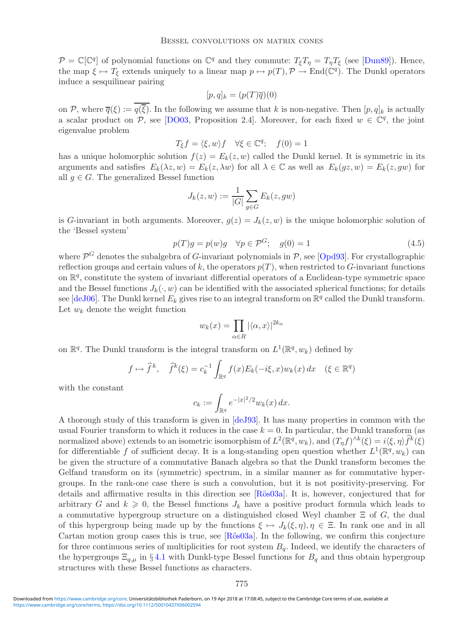$\mathcal{P} = \mathbb{C}[\mathbb{C}^q]$  of polynomial functions on  $\mathbb{C}^q$  and they commute:  $T_{\xi}T_{\eta} = T_{\eta}T_{\xi}$  (see [\[Dun89\]](#page-29-8)). Hence, the map  $\xi \mapsto T_{\xi}$  extends uniquely to a linear map  $p \mapsto p(T)$ ,  $\mathcal{P} \to \text{End}(\mathbb{C}^q)$ . The Dunkl operators induce a sesquilinear pairing

$$
[p,q]_k = (p(T)\overline{q})(0)
$$

on P, where  $\overline{q}(\xi) := \overline{q(\overline{\xi})}$ . In the following we assume that k is non-negative. Then  $[p, q]_k$  is actually a scalar product on P, see [\[DO03,](#page-29-15) Proposition 2.4]. Moreover, for each fixed  $w \in \mathbb{C}^q$ , the joint eigenvalue problem

$$
T_{\xi}f = \langle \xi, w \rangle f \quad \forall \xi \in \mathbb{C}^q; \quad f(0) = 1
$$

has a unique holomorphic solution  $f(z) = E_k(z, w)$  called the Dunkl kernel. It is symmetric in its arguments and satisfies  $E_k(\lambda z, w) = E_k(z, \lambda w)$  for all  $\lambda \in \mathbb{C}$  as well as  $E_k(gz, w) = E_k(z, gw)$  for all  $q \in G$ . The generalized Bessel function

$$
J_k(z, w) := \frac{1}{|G|} \sum_{g \in G} E_k(z, gw)
$$

is G-invariant in both arguments. Moreover,  $g(z) = J_k(z, w)$  is the unique holomorphic solution of the 'Bessel system'

$$
p(T)g = p(w)g \quad \forall p \in \mathcal{P}^G; \quad g(0) = 1 \tag{4.5}
$$

where  $\mathcal{P}^G$  denotes the subalgebra of G-invariant polynomials in  $\mathcal{P}$ , see [\[Opd93\]](#page-30-6). For crystallographic reflection groups and certain values of k, the operators  $p(T)$ , when restricted to G-invariant functions on  $\mathbb{R}^q$ , constitute the system of invariant differential operators of a Euclidean-type symmetric space and the Bessel functions  $J_k(\cdot, w)$  can be identified with the associated spherical functions; for details see [\[deJ06\]](#page-29-13). The Dunkl kernel  $E_k$  gives rise to an integral transform on  $\mathbb{R}^q$  called the Dunkl transform. Let  $w_k$  denote the weight function

$$
w_k(x) = \prod_{\alpha \in R} |\langle \alpha, x \rangle|^{2k_{\alpha}}
$$

on  $\mathbb{R}^q$ . The Dunkl transform is the integral transform on  $L^1(\mathbb{R}^q, w_k)$  defined by

$$
f \mapsto \hat{f}^k, \quad \hat{f}^k(\xi) = c_k^{-1} \int_{\mathbb{R}^q} f(x) E_k(-i\xi, x) w_k(x) dx \quad (\xi \in \mathbb{R}^q)
$$

with the constant

$$
c_k := \int_{\mathbb{R}^q} e^{-|x|^2/2} w_k(x) dx.
$$

A thorough study of this transform is given in [\[deJ93\]](#page-29-16). It has many properties in common with the usual Fourier transform to which it reduces in the case  $k = 0$ . In particular, the Dunkl transform (as normalized above) extends to an isometric isomorphism of  $L^2(\mathbb{R}^q, w_k)$ , and  $(T_\eta f)^{\wedge k}(\xi) = i \langle \xi, \eta \rangle \hat{f}^k(\xi)$ for differentiable f of sufficient decay. It is a long-standing open question whether  $L^1(\mathbb{R}^q, w_k)$  can be given the structure of a commutative Banach algebra so that the Dunkl transform becomes the Gelfand transform on its (symmetric) spectrum, in a similar manner as for commutative hypergroups. In the rank-one case there is such a convolution, but it is not positivity-preserving. For details and affirmative results in this direction see [Rös03a]. It is, however, conjectured that for arbitrary G and  $k \geq 0$ , the Bessel functions  $J_k$  have a positive product formula which leads to a commutative hypergroup structure on a distinguished closed Weyl chamber  $\Xi$  of G, the dual of this hypergroup being made up by the functions  $\xi \mapsto J_k(\xi,\eta), \eta \in \Xi$ . In rank one and in all Cartan motion group cases this is true, see [Rös03a]. In the following, we confirm this conjecture for three continuous series of multiplicities for root system  $B<sub>q</sub>$ . Indeed, we identify the characters of the hypergroups  $\Xi_{q,\mu}$  in §[4.1](#page-21-1) with Dunkl-type Bessel functions for  $B_q$  and thus obtain hypergroup structures with these Bessel functions as characters.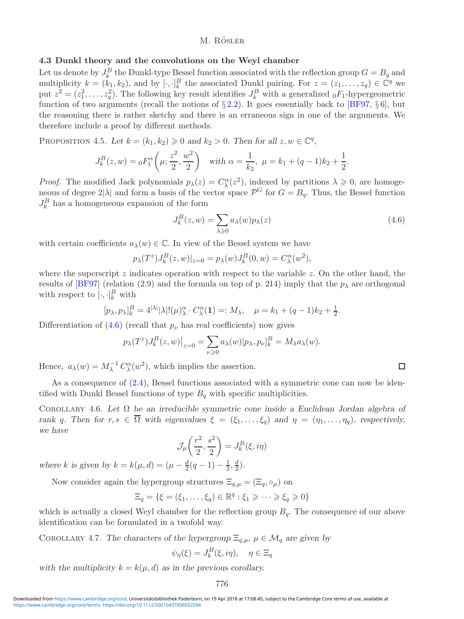# <span id="page-27-1"></span>**4.3 Dunkl theory and the convolutions on the Weyl chamber**

Let us denote by  $J_k^B$  the Dunkl-type Bessel function associated with the reflection group  $G = B_q$  and multiplicity  $k = (k_1, k_2)$ , and by  $[\cdot, \cdot]_k^B$  the associated Dunkl pairing. For  $z = (z_1, \ldots, z_q) \in \mathbb{C}^q$  we put  $z^2 = (z_1^2, \ldots, z_q^2)$ . The following key result identifies  $J_k^B$  with a generalized  ${}_0F_1$ -hypergeometric function of two arguments (recall the notions of  $\S 2.2$ ). It goes essentially back to [\[BF97,](#page-29-17)  $\S 6$ ], but the reasoning there is rather sketchy and there is an erraneous sign in one of the arguments. We therefore include a proof by different methods.

PROPOSITION 4.5. Let  $k = (k_1, k_2) \geq 0$  and  $k_2 > 0$ . Then for all  $z, w \in \mathbb{C}^q$ ,

$$
J_k^B(z, w) = {}_0F_1^{\alpha}\left(\mu; \frac{z^2}{2}, \frac{w^2}{2}\right)
$$
 with  $\alpha = \frac{1}{k_2}$ ,  $\mu = k_1 + (q-1)k_2 + \frac{1}{2}$ .

*Proof.* The modified Jack polynomials  $p_{\lambda}(z) = C_{\lambda}^{\alpha}(z^2)$ , indexed by partitions  $\lambda \geq 0$ , are homogeneous of degree  $2|\lambda|$  and form a basis of the vector space  $\mathcal{P}^G$  for  $G = B_q$ . Thus, the Bessel function  $J_k^B$  has a homogeneous expansion of the form

<span id="page-27-2"></span>
$$
J_k^B(z, w) = \sum_{\lambda \geqslant 0} a_{\lambda}(w) p_{\lambda}(z)
$$
\n(4.6)

 $\Box$ 

with certain coefficients  $a_{\lambda}(w) \in \mathbb{C}$ . In view of the Bessel system we have

$$
p_{\lambda}(T^z)J_k^B(z, w)|_{z=0} = p_{\lambda}(w)J_k^B(0, w) = C_{\lambda}^{\alpha}(w^2),
$$

where the superscript  $z$  indicates operation with respect to the variable  $z$ . On the other hand, the results of [\[BF97\]](#page-29-17) (relation (2.9) and the formula on top of p. 214) imply that the  $p_{\lambda}$  are orthogonal with respect to  $[\cdot, \cdot]_k^B$  with

$$
[p_{\lambda}, p_{\lambda}]_k^B = 4^{|\lambda|} |\lambda|! (\mu)_{\lambda}^{\alpha} \cdot C_{\lambda}^{\alpha} (1) =: M_{\lambda}, \quad \mu = k_1 + (q-1)k_2 + \frac{1}{2}.
$$

Differentiation of  $(4.6)$  (recall that  $p_{\nu}$  has real coefficients) now gives

$$
p_{\lambda}(T^z)J_k^B(z,w)|_{z=0} = \sum_{\nu \geq 0} a_{\lambda}(w)[p_{\lambda}, p_{\nu}]_k^B = M_{\lambda}a_{\lambda}(w).
$$

Hence,  $a_{\lambda}(w) = M_{\lambda}^{-1} C_{\lambda}^{\alpha}(w^2)$ , which implies the assertion.

As a consequence of  $(2.4)$ , Bessel functions associated with a symmetric cone can now be identified with Dunkl Bessel functions of type  $B_q$  with specific multiplicities.

<span id="page-27-0"></span>Corollary 4.6. *Let* Ω *be an irreducible symmetric cone inside a Euclidean Jordan algebra of rank* q. Then for  $r, s \in \overline{\Omega}$  with eigenvalues  $\xi = (\xi_1, \ldots, \xi_q)$  and  $\eta = (\eta_1, \ldots, \eta_q)$ , respectively, *we have*

$$
\mathcal{J}_{\mu}\left(\frac{r^2}{2},\frac{s^2}{2}\right) = J_k^B(\xi,i\eta)
$$

*where k* is given by  $k = k(\mu, d) = (\mu - \frac{d}{2}(q - 1) - \frac{1}{2}, \frac{d}{2})$ *.* 

Now consider again the hypergroup structures  $\Xi_{q,\mu} = (\Xi_q, \circ_\mu)$  on

$$
\Xi_q = \{ \xi = (\xi_1, \dots, \xi_q) \in \mathbb{R}^q : \xi_1 \geqslant \dots \geqslant \xi_q \geqslant 0 \}
$$

which is actually a closed Weyl chamber for the reflection group  $B_q$ . The consequence of our above identification can be formulated in a twofold way.

COROLLARY 4.7. *The characters of the hypergroup*  $\Xi_{q,\mu}$ ,  $\mu \in \mathcal{M}_q$  *are given by* 

$$
\psi_{\eta}(\xi) = J_k^B(\xi, i\eta), \quad \eta \in \Xi_q
$$

with the multiplicity  $k = k(\mu, d)$  *as in the previous corollary.*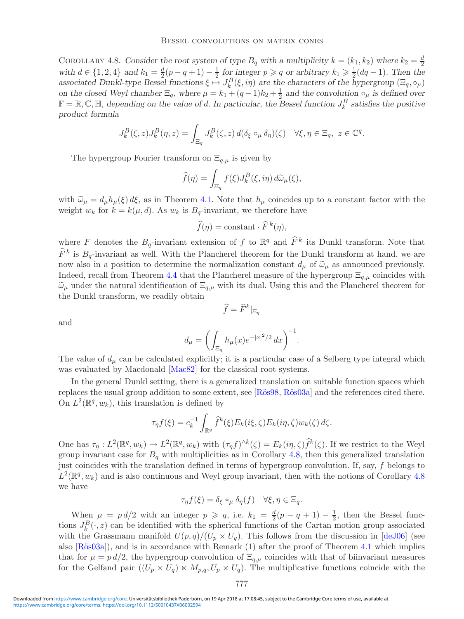<span id="page-28-0"></span>COROLLARY 4.8. Consider the root system of type  $B_q$  with a multiplicity  $k = (k_1, k_2)$  where  $k_2 = \frac{d}{2}$ with  $d \in \{1, 2, 4\}$  and  $k_1 = \frac{d}{2}(p - q + 1) - \frac{1}{2}$  for integer  $p \geqslant q$  or arbitrary  $k_1 \geqslant \frac{1}{2}(dq - 1)$ . Then the associated Dunkl-type Bessel functions  $\xi \mapsto J_k^B(\xi, i\eta)$  are the characters of the hypergroup  $(\Xi_q, \circ_\mu)$ *on the closed Weyl chamber*  $\Xi_q$ , where  $\mu = k_1 + (q-1)k_2 + \frac{1}{2}$  *and the convolution*  $\circ_{\mu}$  *is defined over*  $\mathbb{F} = \mathbb{R}, \mathbb{C}, \mathbb{H}$ , depending on the value of d. In particular, the Bessel function  $J_k^B$  satisfies the positive *product formula*

$$
J_k^B(\xi, z)J_k^B(\eta, z) = \int_{\Xi_q} J_k^B(\zeta, z) d(\delta_{\xi} \circ_{\mu} \delta_{\eta})(\zeta) \quad \forall \xi, \eta \in \Xi_q, \ z \in \mathbb{C}^q.
$$

The hypergroup Fourier transform on  $\Xi_{q,\mu}$  is given by

$$
\widehat{f}(\eta) = \int_{\Xi_q} f(\xi) J_k^B(\xi, i\eta) d\widetilde{\omega}_{\mu}(\xi),
$$

with  $\tilde{\omega}_{\mu} = d_{\mu} h_{\mu}(\xi) d\xi$ , as in Theorem [4.1.](#page-21-2) Note that  $h_{\mu}$  coincides up to a constant factor with the weight  $w_k$  for  $k = k(\mu, d)$ . As  $w_k$  is  $B_q$ -invariant, we therefore have

$$
\widehat{f}(\eta) = \text{constant} \cdot \widehat{F}^k(\eta),
$$

where F denotes the  $B_q$ -invariant extension of f to  $\mathbb{R}^q$  and  $\widehat{F}^k$  its Dunkl transform. Note that  $\widehat{F}^k$  is  $B_{\sigma}$ -invariant as well. With the Plancherel theorem for the Dunkl transform at hand, we are now also in a position to determine the normalization constant  $d_{\mu}$  of  $\tilde{\omega}_{\mu}$  as announced previously. Indeed, recall from Theorem [4.4](#page-24-2) that the Plancherel measure of the hypergroup  $\Xi_{q,\mu}$  coincides with  $\tilde{\omega}_\mu$  under the natural identification of  $\Xi_{q,\mu}$  with its dual. Using this and the Plancherel theorem for the Dunkl transform, we readily obtain

and

$$
\widehat{f} = \widehat{F}^k|_{\Xi_q}
$$

$$
d_{\mu} = \left( \int_{\Xi_q} h_{\mu}(x) e^{-|x|^2/2} dx \right)^{-1}.
$$

The value of  $d_{\mu}$  can be calculated explicitly; it is a particular case of a Selberg type integral which was evaluated by Macdonald [\[Mac82\]](#page-30-18) for the classical root systems.

In the general Dunkl setting, there is a generalized translation on suitable function spaces which replaces the usual group addition to some extent, see [Rös98, Rös03a] and the references cited there. On  $L^2(\mathbb{R}^q, w_k)$ , this translation is defined by

$$
\tau_{\eta}f(\xi) = c_k^{-1} \int_{\mathbb{R}^q} \widehat{f}^k(\xi) E_k(i\xi, \zeta) E_k(i\eta, \zeta) w_k(\zeta) d\zeta.
$$

One has  $\tau_{\eta}: L^2(\mathbb{R}^q, w_k) \to L^2(\mathbb{R}^q, w_k)$  with  $(\tau_{\eta} f)^{\wedge k}(\zeta) = E_k(i\eta, \zeta) \widehat{f}^k(\zeta)$ . If we restrict to the Weyl group invariant case for  $B<sub>q</sub>$  with multiplicities as in Corollary [4.8,](#page-28-0) then this generalized translation just coincides with the translation defined in terms of hypergroup convolution. If, say, f belongs to  $L^2(\mathbb{R}^q, w_k)$  and is also continuous and Weyl group invariant, then with the notions of Corollary [4.8](#page-28-0) we have

$$
\tau_{\eta} f(\xi) = \delta_{\xi} *_{\mu} \delta_{\eta}(f) \quad \forall \xi, \eta \in \Xi_q.
$$

When  $\mu = pd/2$  with an integer  $p \geqslant q$ , i.e.  $k_1 = \frac{d}{2}(p - q + 1) - \frac{1}{2}$ , then the Bessel functions  $J_k^B(\cdot, z)$  can be identified with the spherical functions of the Cartan motion group associated with the Grassmann manifold  $U(p,q)/(U_p \times U_q)$ . This follows from the discussion in [\[deJ06\]](#page-29-13) (see also  $[\text{Rös03a}]$ , and is in accordance with Remark (1) after the proof of Theorem [4.1](#page-21-2) which implies that for  $\mu = p d/2$ , the hypergroup convolution of  $\Xi_{q,\mu}$  coincides with that of biinvariant measures for the Gelfand pair  $((U_p \times U_q) \times M_{p,q}, U_p \times U_q)$ . The multiplicative functions coincide with the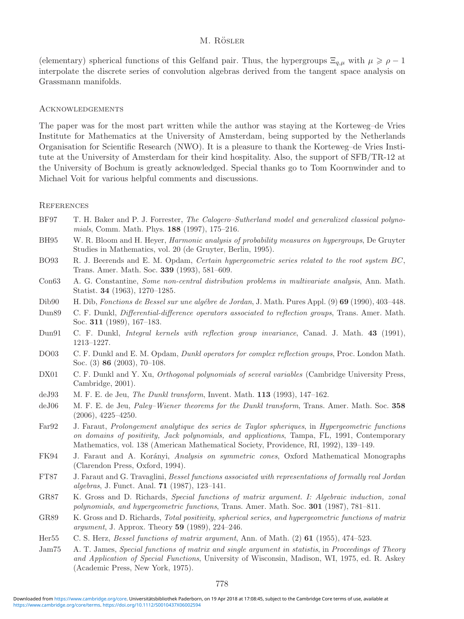(elementary) spherical functions of this Gelfand pair. Thus, the hypergroups  $\Xi_{q,\mu}$  with  $\mu \geqslant \rho - 1$ interpolate the discrete series of convolution algebras derived from the tangent space analysis on Grassmann manifolds.

#### **ACKNOWLEDGEMENTS**

The paper was for the most part written while the author was staying at the Korteweg–de Vries Institute for Mathematics at the University of Amsterdam, being supported by the Netherlands Organisation for Scientific Research (NWO). It is a pleasure to thank the Korteweg–de Vries Institute at the University of Amsterdam for their kind hospitality. Also, the support of SFB/TR-12 at the University of Bochum is greatly acknowledged. Special thanks go to Tom Koornwinder and to Michael Voit for various helpful comments and discussions.

#### **REFERENCES**

- <span id="page-29-17"></span>BF97 T. H. Baker and P. J. Forrester, *The Calogero–Sutherland model and generalized classical polynomials*, Comm. Math. Phys. **188** (1997), 175–216.
- <span id="page-29-0"></span>BH95 W. R. Bloom and H. Heyer, *Harmonic analysis of probability measures on hypergroups*, De Gruyter Studies in Mathematics, vol. 20 (de Gruyter, Berlin, 1995).
- <span id="page-29-7"></span>BO93 R. J. Beerends and E. M. Opdam, *Certain hypergeometric series related to the root system* BC, Trans. Amer. Math. Soc. **339** (1993), 581–609.
- <span id="page-29-3"></span>Con63 A. G. Constantine, *Some non-central distribution problems in multivariate analysis*, Ann. Math. Statist. **34** (1963), 1270–1285.
- <span id="page-29-12"></span>Dib90 H. Dib, *Fonctions de Bessel sur une alg´ebre de Jordan*, J. Math. Pures Appl. (9) **69** (1990), 403–448.
- <span id="page-29-8"></span>Dun89 C. F. Dunkl, *Differential-difference operators associated to reflection groups*, Trans. Amer. Math. Soc. **311** (1989), 167–183.
- <span id="page-29-9"></span>Dun91 C. F. Dunkl, *Integral kernels with reflection group invariance*, Canad. J. Math. **43** (1991), 1213–1227.
- <span id="page-29-15"></span>DO03 C. F. Dunkl and E. M. Opdam, *Dunkl operators for complex reflection groups*, Proc. London Math. Soc. (3) **86** (2003), 70–108.
- <span id="page-29-14"></span>DX01 C. F. Dunkl and Y. Xu, *Orthogonal polynomials of several variables* (Cambridge University Press, Cambridge, 2001).
- <span id="page-29-16"></span>deJ93 M. F. E. de Jeu, *The Dunkl transform*, Invent. Math. **113** (1993), 147–162.
- <span id="page-29-13"></span>deJ06 M. F. E. de Jeu, *Paley–Wiener theorems for the Dunkl transform*, Trans. Amer. Math. Soc. **358** (2006), 4225–4250.
- <span id="page-29-10"></span>Far92 J. Faraut, *Prolongement analytique des series de Taylor spheriques*, in *Hypergeometric functions on domains of positivity, Jack polynomials, and applications*, Tampa, FL, 1991, Contemporary Mathematics, vol. 138 (American Mathematical Society, Providence, RI, 1992), 139–149.
- <span id="page-29-6"></span>FK94 J. Faraut and A. Korányi, *Analysis on symmetric cones*, Oxford Mathematical Monographs (Clarendon Press, Oxford, 1994).
- <span id="page-29-1"></span>FT87 J. Faraut and G. Travaglini, *Bessel functions associated with representations of formally real Jordan algebras*, J. Funct. Anal. **71** (1987), 123–141.
- <span id="page-29-4"></span>GR87 K. Gross and D. Richards, *Special functions of matrix argument. I: Algebraic induction, zonal polynomials, and hypergeometric functions*, Trans. Amer. Math. Soc. **301** (1987), 781–811.
- <span id="page-29-11"></span>GR89 K. Gross and D. Richards, *Total positivity, spherical series, and hypergeometric functions of matrix argument*, J. Approx. Theory **59** (1989), 224–246.
- <span id="page-29-2"></span>Her55 C. S. Herz, *Bessel functions of matrix argument*, Ann. of Math. (2) **61** (1955), 474–523.
- <span id="page-29-5"></span>Jam75 A. T. James, *Special functions of matrix and single argument in statistis*, in *Proceedings of Theory and Application of Special Functions*, University of Wisconsin, Madison, WI, 1975, ed. R. Askey (Academic Press, New York, 1975).